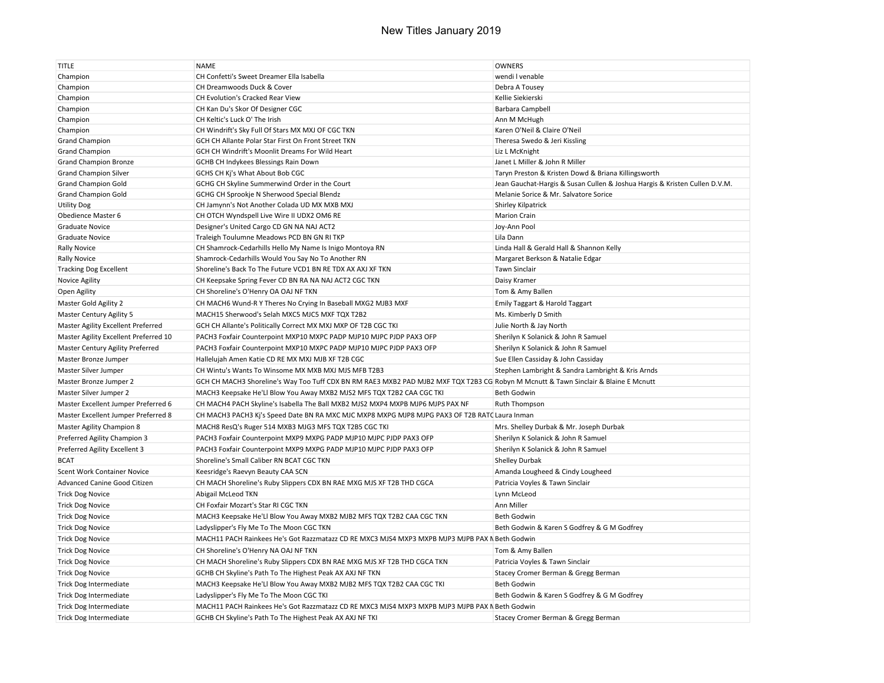| <b>TITLE</b>                          | <b>NAME</b>                                                                                                                         | <b>OWNERS</b>                                                              |
|---------------------------------------|-------------------------------------------------------------------------------------------------------------------------------------|----------------------------------------------------------------------------|
| Champion                              | CH Confetti's Sweet Dreamer Ella Isabella                                                                                           | wendi I venable                                                            |
| Champion                              | CH Dreamwoods Duck & Cover                                                                                                          | Debra A Tousey                                                             |
| Champion                              | CH Evolution's Cracked Rear View                                                                                                    | Kellie Siekierski                                                          |
| Champion                              | CH Kan Du's Skor Of Designer CGC                                                                                                    | Barbara Campbell                                                           |
| Champion                              | CH Keltic's Luck O' The Irish                                                                                                       | Ann M McHugh                                                               |
| Champion                              | CH Windrift's Sky Full Of Stars MX MXJ OF CGC TKN                                                                                   | Karen O'Neil & Claire O'Neil                                               |
| <b>Grand Champion</b>                 | GCH CH Allante Polar Star First On Front Street TKN                                                                                 | Theresa Swedo & Jeri Kissling                                              |
| <b>Grand Champion</b>                 | GCH CH Windrift's Moonlit Dreams For Wild Heart                                                                                     | Liz L McKnight                                                             |
| Grand Champion Bronze                 | GCHB CH Indykees Blessings Rain Down                                                                                                | Janet L Miller & John R Miller                                             |
| <b>Grand Champion Silver</b>          | GCHS CH Kj's What About Bob CGC                                                                                                     | Taryn Preston & Kristen Dowd & Briana Killingsworth                        |
| <b>Grand Champion Gold</b>            | GCHG CH Skyline Summerwind Order in the Court                                                                                       | Jean Gauchat-Hargis & Susan Cullen & Joshua Hargis & Kristen Cullen D.V.M. |
| <b>Grand Champion Gold</b>            | GCHG CH Sprookje N Sherwood Special Blendz                                                                                          | Melanie Sorice & Mr. Salvatore Sorice                                      |
| <b>Utility Dog</b>                    | CH Jamynn's Not Another Colada UD MX MXB MXJ                                                                                        | <b>Shirley Kilpatrick</b>                                                  |
| Obedience Master 6                    | CH OTCH Wyndspell Live Wire II UDX2 OM6 RE                                                                                          | <b>Marion Crain</b>                                                        |
| <b>Graduate Novice</b>                | Designer's United Cargo CD GN NA NAJ ACT2                                                                                           | Joy-Ann Pool                                                               |
| <b>Graduate Novice</b>                | Traleigh Toulumne Meadows PCD BN GN RI TKP                                                                                          | Lila Dann                                                                  |
| <b>Rally Novice</b>                   | CH Shamrock-Cedarhills Hello My Name Is Inigo Montoya RN                                                                            | Linda Hall & Gerald Hall & Shannon Kelly                                   |
| <b>Rally Novice</b>                   | Shamrock-Cedarhills Would You Say No To Another RN                                                                                  | Margaret Berkson & Natalie Edgar                                           |
| <b>Tracking Dog Excellent</b>         | Shoreline's Back To The Future VCD1 BN RE TDX AX AXJ XF TKN                                                                         | <b>Tawn Sinclair</b>                                                       |
| Novice Agility                        | CH Keepsake Spring Fever CD BN RA NA NAJ ACT2 CGC TKN                                                                               | Daisy Kramer                                                               |
| Open Agility                          | CH Shoreline's O'Henry OA OAJ NF TKN                                                                                                | Tom & Amy Ballen                                                           |
| Master Gold Agility 2                 | CH MACH6 Wund-R Y Theres No Crying In Baseball MXG2 MJB3 MXF                                                                        | Emily Taggart & Harold Taggart                                             |
| <b>Master Century Agility 5</b>       | MACH15 Sherwood's Selah MXC5 MJC5 MXF TQX T2B2                                                                                      | Ms. Kimberly D Smith                                                       |
| Master Agility Excellent Preferred    | GCH CH Allante's Politically Correct MX MXJ MXP OF T2B CGC TKI                                                                      | Julie North & Jay North                                                    |
| Master Agility Excellent Preferred 10 | PACH3 Foxfair Counterpoint MXP10 MXPC PADP MJP10 MJPC PJDP PAX3 OFP                                                                 | Sherilyn K Solanick & John R Samuel                                        |
| Master Century Agility Preferred      | PACH3 Foxfair Counterpoint MXP10 MXPC PADP MJP10 MJPC PJDP PAX3 OFP                                                                 | Sherilyn K Solanick & John R Samuel                                        |
| Master Bronze Jumper                  | Hallelujah Amen Katie CD RE MX MXJ MJB XF T2B CGC                                                                                   | Sue Ellen Cassiday & John Cassiday                                         |
| Master Silver Jumper                  | CH Wintu's Wants To Winsome MX MXB MXJ MJS MFB T2B3                                                                                 | Stephen Lambright & Sandra Lambright & Kris Arnds                          |
| Master Bronze Jumper 2                | GCH CH MACH3 Shoreline's Way Too Tuff CDX BN RM RAE3 MXB2 PAD MJB2 MXF TQX T2B3 CG Robyn M Mcnutt & Tawn Sinclair & Blaine E Mcnutt |                                                                            |
| Master Silver Jumper 2                | MACH3 Keepsake He'Ll Blow You Away MXB2 MJS2 MFS TQX T2B2 CAA CGC TKI                                                               | <b>Beth Godwin</b>                                                         |
| Master Excellent Jumper Preferred 6   | CH MACH4 PACH Skyline's Isabella The Ball MXB2 MJS2 MXP4 MXPB MJP6 MJPS PAX NF                                                      | Ruth Thompson                                                              |
| Master Excellent Jumper Preferred 8   | CH MACH3 PACH3 Kj's Speed Date BN RA MXC MJC MXP8 MXPG MJP8 MJPG PAX3 OF T2B RATC Laura Inman                                       |                                                                            |
| Master Agility Champion 8             | MACH8 ResQ's Ruger 514 MXB3 MJG3 MFS TQX T2B5 CGC TKI                                                                               | Mrs. Shelley Durbak & Mr. Joseph Durbak                                    |
| Preferred Agility Champion 3          | PACH3 Foxfair Counterpoint MXP9 MXPG PADP MJP10 MJPC PJDP PAX3 OFP                                                                  | Sherilyn K Solanick & John R Samuel                                        |
| Preferred Agility Excellent 3         | PACH3 Foxfair Counterpoint MXP9 MXPG PADP MJP10 MJPC PJDP PAX3 OFP                                                                  | Sherilyn K Solanick & John R Samuel                                        |
| <b>BCAT</b>                           | Shoreline's Small Caliber RN BCAT CGC TKN                                                                                           | Shelley Durbak                                                             |
| <b>Scent Work Container Novice</b>    | Keesridge's Raevyn Beauty CAA SCN                                                                                                   | Amanda Lougheed & Cindy Lougheed                                           |
| Advanced Canine Good Citizen          | CH MACH Shoreline's Ruby Slippers CDX BN RAE MXG MJS XF T2B THD CGCA                                                                | Patricia Voyles & Tawn Sinclair                                            |
| <b>Trick Dog Novice</b>               | Abigail McLeod TKN                                                                                                                  | Lynn McLeod                                                                |
| <b>Trick Dog Novice</b>               |                                                                                                                                     | Ann Miller                                                                 |
|                                       | CH Foxfair Mozart's Star RI CGC TKN                                                                                                 |                                                                            |
| <b>Trick Dog Novice</b>               | MACH3 Keepsake He'Ll Blow You Away MXB2 MJB2 MFS TQX T2B2 CAA CGC TKN                                                               | Beth Godwin                                                                |
| <b>Trick Dog Novice</b>               | Ladyslipper's Fly Me To The Moon CGC TKN                                                                                            | Beth Godwin & Karen S Godfrey & G M Godfrey                                |
| <b>Trick Dog Novice</b>               | MACH11 PACH Rainkees He's Got Razzmatazz CD RE MXC3 MJS4 MXP3 MXPB MJP3 MJPB PAX N Beth Godwin                                      |                                                                            |
| <b>Trick Dog Novice</b>               | CH Shoreline's O'Henry NA OAJ NF TKN                                                                                                | Tom & Amy Ballen                                                           |
| <b>Trick Dog Novice</b>               | CH MACH Shoreline's Ruby Slippers CDX BN RAE MXG MJS XF T2B THD CGCA TKN                                                            | Patricia Voyles & Tawn Sinclair                                            |
| <b>Trick Dog Novice</b>               | GCHB CH Skyline's Path To The Highest Peak AX AXJ NF TKN                                                                            | Stacey Cromer Berman & Gregg Berman                                        |
| Trick Dog Intermediate                | MACH3 Keepsake He'Ll Blow You Away MXB2 MJB2 MFS TQX T2B2 CAA CGC TKI                                                               | <b>Beth Godwin</b>                                                         |
| Trick Dog Intermediate                | Ladyslipper's Fly Me To The Moon CGC TKI                                                                                            | Beth Godwin & Karen S Godfrey & G M Godfrey                                |
| Trick Dog Intermediate                | MACH11 PACH Rainkees He's Got Razzmatazz CD RE MXC3 MJS4 MXP3 MXPB MJP3 MJPB PAX N Beth Godwin                                      |                                                                            |
| Trick Dog Intermediate                | GCHB CH Skyline's Path To The Highest Peak AX AXJ NF TKI                                                                            | Stacey Cromer Berman & Gregg Berman                                        |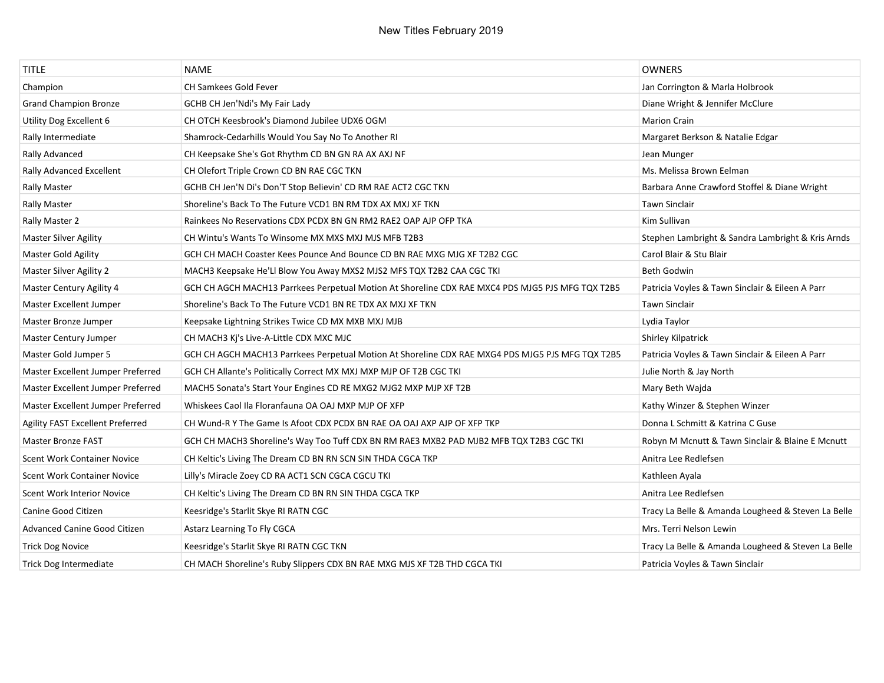| <b>TITLE</b>                            | <b>NAME</b>                                                                                      | <b>OWNERS</b>                                      |
|-----------------------------------------|--------------------------------------------------------------------------------------------------|----------------------------------------------------|
| Champion                                | <b>CH Samkees Gold Fever</b>                                                                     | Jan Corrington & Marla Holbrook                    |
| <b>Grand Champion Bronze</b>            | GCHB CH Jen'Ndi's My Fair Lady                                                                   | Diane Wright & Jennifer McClure                    |
| Utility Dog Excellent 6                 | CH OTCH Keesbrook's Diamond Jubilee UDX6 OGM                                                     | <b>Marion Crain</b>                                |
| Rally Intermediate                      | Shamrock-Cedarhills Would You Say No To Another RI                                               | Margaret Berkson & Natalie Edgar                   |
| Rally Advanced                          | CH Keepsake She's Got Rhythm CD BN GN RA AX AXJ NF                                               | Jean Munger                                        |
| <b>Rally Advanced Excellent</b>         | CH Olefort Triple Crown CD BN RAE CGC TKN                                                        | Ms. Melissa Brown Eelman                           |
| <b>Rally Master</b>                     | GCHB CH Jen'N Di's Don'T Stop Believin' CD RM RAE ACT2 CGC TKN                                   | Barbara Anne Crawford Stoffel & Diane Wright       |
| <b>Rally Master</b>                     | Shoreline's Back To The Future VCD1 BN RM TDX AX MXJ XF TKN                                      | <b>Tawn Sinclair</b>                               |
| Rally Master 2                          | Rainkees No Reservations CDX PCDX BN GN RM2 RAE2 OAP AJP OFP TKA                                 | Kim Sullivan                                       |
| <b>Master Silver Agility</b>            | CH Wintu's Wants To Winsome MX MXS MXJ MJS MFB T2B3                                              | Stephen Lambright & Sandra Lambright & Kris Arnds  |
| Master Gold Agility                     | GCH CH MACH Coaster Kees Pounce And Bounce CD BN RAE MXG MJG XF T2B2 CGC                         | Carol Blair & Stu Blair                            |
| <b>Master Silver Agility 2</b>          | MACH3 Keepsake He'Ll Blow You Away MXS2 MJS2 MFS TQX T2B2 CAA CGC TKI                            | <b>Beth Godwin</b>                                 |
| Master Century Agility 4                | GCH CH AGCH MACH13 Parrkees Perpetual Motion At Shoreline CDX RAE MXC4 PDS MJG5 PJS MFG TQX T2B5 | Patricia Voyles & Tawn Sinclair & Eileen A Parr    |
| Master Excellent Jumper                 | Shoreline's Back To The Future VCD1 BN RE TDX AX MXJ XF TKN                                      | <b>Tawn Sinclair</b>                               |
| Master Bronze Jumper                    | Keepsake Lightning Strikes Twice CD MX MXB MXJ MJB                                               | Lydia Taylor                                       |
| Master Century Jumper                   | CH MACH3 Kj's Live-A-Little CDX MXC MJC                                                          | Shirley Kilpatrick                                 |
| Master Gold Jumper 5                    | GCH CH AGCH MACH13 Parrkees Perpetual Motion At Shoreline CDX RAE MXG4 PDS MJG5 PJS MFG TQX T2B5 | Patricia Voyles & Tawn Sinclair & Eileen A Parr    |
| Master Excellent Jumper Preferred       | GCH CH Allante's Politically Correct MX MXJ MXP MJP OF T2B CGC TKI                               | Julie North & Jay North                            |
| Master Excellent Jumper Preferred       | MACH5 Sonata's Start Your Engines CD RE MXG2 MJG2 MXP MJP XF T2B                                 | Mary Beth Wajda                                    |
| Master Excellent Jumper Preferred       | Whiskees Caol Ila Floranfauna OA OAJ MXP MJP OF XFP                                              | Kathy Winzer & Stephen Winzer                      |
| <b>Agility FAST Excellent Preferred</b> | CH Wund-R Y The Game Is Afoot CDX PCDX BN RAE OA OAJ AXP AJP OF XFP TKP                          | Donna L Schmitt & Katrina C Guse                   |
| Master Bronze FAST                      | GCH CH MACH3 Shoreline's Way Too Tuff CDX BN RM RAE3 MXB2 PAD MJB2 MFB TQX T2B3 CGC TKI          | Robyn M Mcnutt & Tawn Sinclair & Blaine E Mcnutt   |
| <b>Scent Work Container Novice</b>      | CH Keltic's Living The Dream CD BN RN SCN SIN THDA CGCA TKP                                      | Anitra Lee Redlefsen                               |
| <b>Scent Work Container Novice</b>      | Lilly's Miracle Zoey CD RA ACT1 SCN CGCA CGCU TKI                                                | Kathleen Ayala                                     |
| Scent Work Interior Novice              | CH Keltic's Living The Dream CD BN RN SIN THDA CGCA TKP                                          | Anitra Lee Redlefsen                               |
| Canine Good Citizen                     | Keesridge's Starlit Skye RI RATN CGC                                                             | Tracy La Belle & Amanda Lougheed & Steven La Belle |
| Advanced Canine Good Citizen            | Astarz Learning To Fly CGCA                                                                      | Mrs. Terri Nelson Lewin                            |
| <b>Trick Dog Novice</b>                 | Keesridge's Starlit Skye RI RATN CGC TKN                                                         | Tracy La Belle & Amanda Lougheed & Steven La Belle |
| Trick Dog Intermediate                  | CH MACH Shoreline's Ruby Slippers CDX BN RAE MXG MJS XF T2B THD CGCA TKI                         | Patricia Voyles & Tawn Sinclair                    |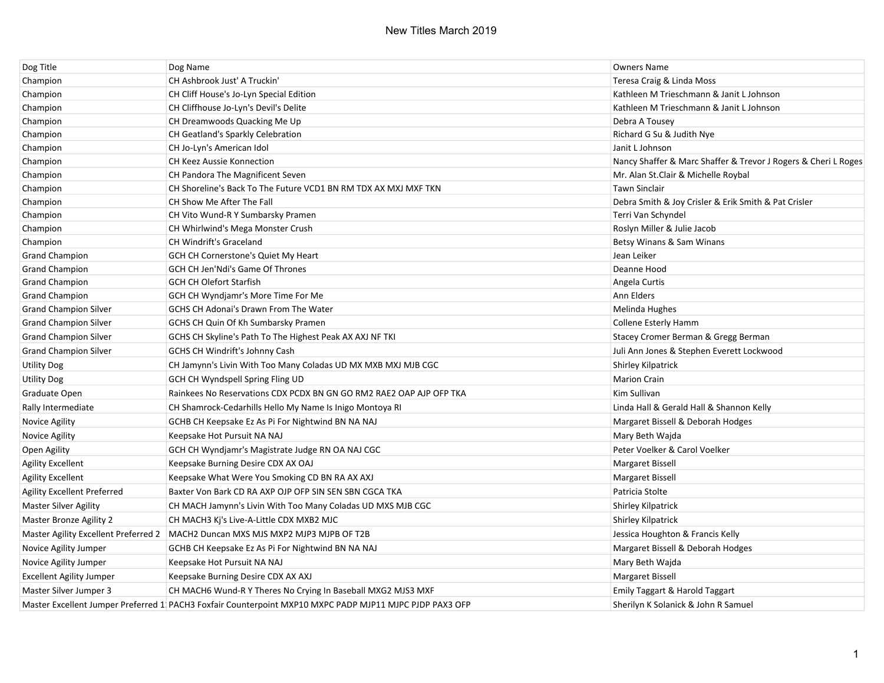| Dog Title                          | Dog Name                                                                                                | <b>Owners Name</b>                                             |
|------------------------------------|---------------------------------------------------------------------------------------------------------|----------------------------------------------------------------|
| Champion                           | CH Ashbrook Just' A Truckin'                                                                            | Teresa Craig & Linda Moss                                      |
| Champion                           | CH Cliff House's Jo-Lyn Special Edition                                                                 | Kathleen M Trieschmann & Janit L Johnson                       |
| Champion                           | CH Cliffhouse Jo-Lyn's Devil's Delite                                                                   | Kathleen M Trieschmann & Janit L Johnson                       |
| Champion                           | CH Dreamwoods Quacking Me Up                                                                            | Debra A Tousey                                                 |
| Champion                           | CH Geatland's Sparkly Celebration                                                                       | Richard G Su & Judith Nye                                      |
| Champion                           | CH Jo-Lyn's American Idol                                                                               | Janit L Johnson                                                |
| Champion                           | <b>CH Keez Aussie Konnection</b>                                                                        | Nancy Shaffer & Marc Shaffer & Trevor J Rogers & Cheri L Roges |
| Champion                           | CH Pandora The Magnificent Seven                                                                        | Mr. Alan St.Clair & Michelle Roybal                            |
| Champion                           | CH Shoreline's Back To The Future VCD1 BN RM TDX AX MXJ MXF TKN                                         | <b>Tawn Sinclair</b>                                           |
| Champion                           | CH Show Me After The Fall                                                                               | Debra Smith & Joy Crisler & Erik Smith & Pat Crisler           |
| Champion                           | CH Vito Wund-R Y Sumbarsky Pramen                                                                       | Terri Van Schyndel                                             |
| Champion                           | CH Whirlwind's Mega Monster Crush                                                                       | Roslyn Miller & Julie Jacob                                    |
| Champion                           | <b>CH Windrift's Graceland</b>                                                                          | Betsy Winans & Sam Winans                                      |
| <b>Grand Champion</b>              | GCH CH Cornerstone's Quiet My Heart                                                                     | Jean Leiker                                                    |
| <b>Grand Champion</b>              | GCH CH Jen'Ndi's Game Of Thrones                                                                        | Deanne Hood                                                    |
| <b>Grand Champion</b>              | <b>GCH CH Olefort Starfish</b>                                                                          | Angela Curtis                                                  |
| <b>Grand Champion</b>              | GCH CH Wyndjamr's More Time For Me                                                                      | Ann Elders                                                     |
| <b>Grand Champion Silver</b>       | GCHS CH Adonai's Drawn From The Water                                                                   | Melinda Hughes                                                 |
| <b>Grand Champion Silver</b>       | GCHS CH Quin Of Kh Sumbarsky Pramen                                                                     | Collene Esterly Hamm                                           |
| <b>Grand Champion Silver</b>       | GCHS CH Skyline's Path To The Highest Peak AX AXJ NF TKI                                                | Stacey Cromer Berman & Gregg Berman                            |
| <b>Grand Champion Silver</b>       | GCHS CH Windrift's Johnny Cash                                                                          | Juli Ann Jones & Stephen Everett Lockwood                      |
| <b>Utility Dog</b>                 | CH Jamynn's Livin With Too Many Coladas UD MX MXB MXJ MJB CGC                                           | Shirley Kilpatrick                                             |
| <b>Utility Dog</b>                 | GCH CH Wyndspell Spring Fling UD                                                                        | <b>Marion Crain</b>                                            |
| Graduate Open                      | Rainkees No Reservations CDX PCDX BN GN GO RM2 RAE2 OAP AJP OFP TKA                                     | Kim Sullivan                                                   |
| Rally Intermediate                 | CH Shamrock-Cedarhills Hello My Name Is Inigo Montoya RI                                                | Linda Hall & Gerald Hall & Shannon Kelly                       |
| Novice Agility                     | GCHB CH Keepsake Ez As Pi For Nightwind BN NA NAJ                                                       | Margaret Bissell & Deborah Hodges                              |
| Novice Agility                     | Keepsake Hot Pursuit NA NAJ                                                                             | Mary Beth Wajda                                                |
| Open Agility                       | GCH CH Wyndjamr's Magistrate Judge RN OA NAJ CGC                                                        | Peter Voelker & Carol Voelker                                  |
| <b>Agility Excellent</b>           | Keepsake Burning Desire CDX AX OAJ                                                                      | Margaret Bissell                                               |
| <b>Agility Excellent</b>           | Keepsake What Were You Smoking CD BN RA AX AXJ                                                          | Margaret Bissell                                               |
| <b>Agility Excellent Preferred</b> | Baxter Von Bark CD RA AXP OJP OFP SIN SEN SBN CGCA TKA                                                  | Patricia Stolte                                                |
| <b>Master Silver Agility</b>       | CH MACH Jamynn's Livin With Too Many Coladas UD MXS MJB CGC                                             | Shirley Kilpatrick                                             |
| Master Bronze Agility 2            | CH MACH3 Kj's Live-A-Little CDX MXB2 MJC                                                                | Shirley Kilpatrick                                             |
|                                    | Master Agility Excellent Preferred 2   MACH2 Duncan MXS MJS MXP2 MJP3 MJPB OF T2B                       | Jessica Houghton & Francis Kelly                               |
| Novice Agility Jumper              | GCHB CH Keepsake Ez As Pi For Nightwind BN NA NAJ                                                       | Margaret Bissell & Deborah Hodges                              |
| Novice Agility Jumper              | Keepsake Hot Pursuit NA NAJ                                                                             | Mary Beth Wajda                                                |
| <b>Excellent Agility Jumper</b>    | Keepsake Burning Desire CDX AX AXJ                                                                      | Margaret Bissell                                               |
| Master Silver Jumper 3             | CH MACH6 Wund-R Y Theres No Crying In Baseball MXG2 MJS3 MXF                                            | Emily Taggart & Harold Taggart                                 |
|                                    | Master Excellent Jumper Preferred 1 PACH3 Foxfair Counterpoint MXP10 MXPC PADP MJP11 MJPC PJDP PAX3 OFP | Sherilyn K Solanick & John R Samuel                            |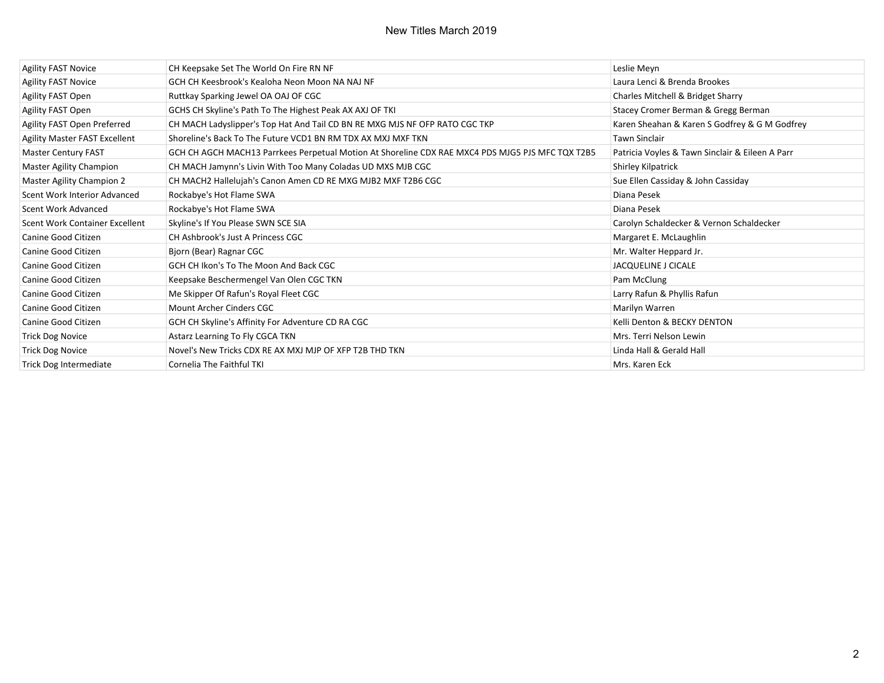| <b>Agility FAST Novice</b>           | CH Keepsake Set The World On Fire RN NF                                                          | Leslie Meyn                                     |
|--------------------------------------|--------------------------------------------------------------------------------------------------|-------------------------------------------------|
| <b>Agility FAST Novice</b>           | GCH CH Keesbrook's Kealoha Neon Moon NA NAJ NF                                                   | Laura Lenci & Brenda Brookes                    |
| Agility FAST Open                    | Ruttkay Sparking Jewel OA OAJ OF CGC                                                             | Charles Mitchell & Bridget Sharry               |
| Agility FAST Open                    | GCHS CH Skyline's Path To The Highest Peak AX AXJ OF TKI                                         | Stacey Cromer Berman & Gregg Berman             |
| Agility FAST Open Preferred          | CH MACH Ladyslipper's Top Hat And Tail CD BN RE MXG MJS NF OFP RATO CGC TKP                      | Karen Sheahan & Karen S Godfrey & G M Godfrey   |
| <b>Agility Master FAST Excellent</b> | Shoreline's Back To The Future VCD1 BN RM TDX AX MXJ MXF TKN                                     | <b>Tawn Sinclair</b>                            |
| <b>Master Century FAST</b>           | GCH CH AGCH MACH13 Parrkees Perpetual Motion At Shoreline CDX RAE MXC4 PDS MJG5 PJS MFC TQX T2B5 | Patricia Voyles & Tawn Sinclair & Eileen A Parr |
| Master Agility Champion              | CH MACH Jamynn's Livin With Too Many Coladas UD MXS MJB CGC                                      | Shirley Kilpatrick                              |
| Master Agility Champion 2            | CH MACH2 Hallelujah's Canon Amen CD RE MXG MJB2 MXF T2B6 CGC                                     | Sue Ellen Cassiday & John Cassiday              |
| Scent Work Interior Advanced         | Rockabye's Hot Flame SWA                                                                         | Diana Pesek                                     |
| Scent Work Advanced                  | Rockabye's Hot Flame SWA                                                                         | Diana Pesek                                     |
| Scent Work Container Excellent       | Skyline's If You Please SWN SCE SIA                                                              | Carolyn Schaldecker & Vernon Schaldecker        |
| Canine Good Citizen                  | CH Ashbrook's Just A Princess CGC                                                                | Margaret E. McLaughlin                          |
| Canine Good Citizen                  | Bjorn (Bear) Ragnar CGC                                                                          | Mr. Walter Heppard Jr.                          |
| Canine Good Citizen                  | GCH CH Ikon's To The Moon And Back CGC                                                           | JACQUELINE J CICALE                             |
| Canine Good Citizen                  | Keepsake Beschermengel Van Olen CGC TKN                                                          | Pam McClung                                     |
| Canine Good Citizen                  | Me Skipper Of Rafun's Royal Fleet CGC                                                            | Larry Rafun & Phyllis Rafun                     |
| Canine Good Citizen                  | Mount Archer Cinders CGC                                                                         | Marilyn Warren                                  |
| Canine Good Citizen                  | GCH CH Skyline's Affinity For Adventure CD RA CGC                                                | Kelli Denton & BECKY DENTON                     |
| <b>Trick Dog Novice</b>              | Astarz Learning To Fly CGCA TKN                                                                  | Mrs. Terri Nelson Lewin                         |
| <b>Trick Dog Novice</b>              | Novel's New Tricks CDX RE AX MXJ MJP OF XFP T2B THD TKN                                          | Linda Hall & Gerald Hall                        |
| Trick Dog Intermediate               | Cornelia The Faithful TKI                                                                        | Mrs. Karen Eck                                  |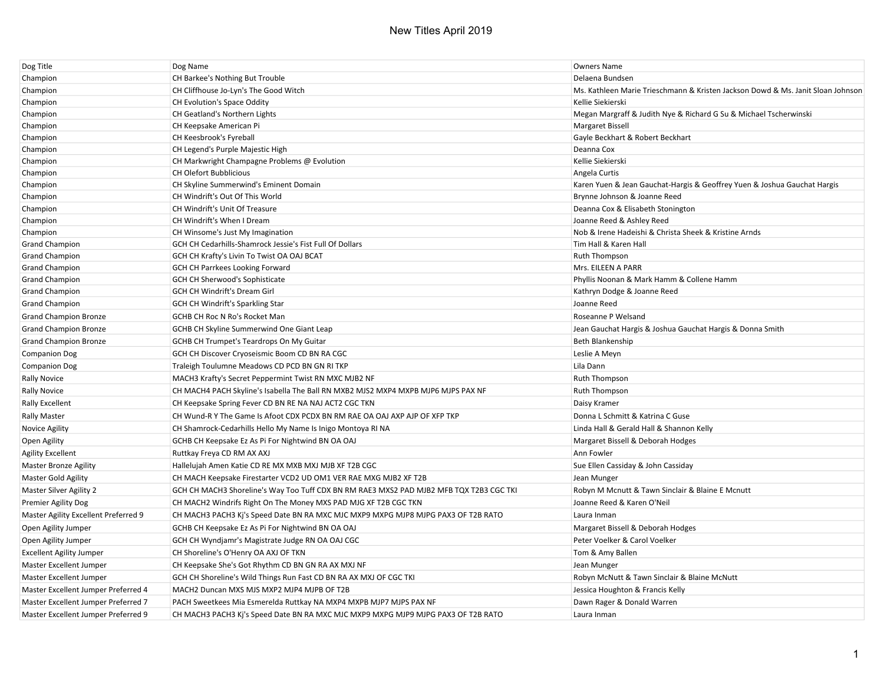| Dog Title                            | Dog Name                                                                                | <b>Owners Name</b>                                                              |
|--------------------------------------|-----------------------------------------------------------------------------------------|---------------------------------------------------------------------------------|
| Champion                             | CH Barkee's Nothing But Trouble                                                         | Delaena Bundsen                                                                 |
| Champion                             | CH Cliffhouse Jo-Lyn's The Good Witch                                                   | Ms. Kathleen Marie Trieschmann & Kristen Jackson Dowd & Ms. Janit Sloan Johnson |
| Champion                             | CH Evolution's Space Oddity                                                             | Kellie Siekierski                                                               |
| Champion                             | CH Geatland's Northern Lights                                                           | Megan Margraff & Judith Nye & Richard G Su & Michael Tscherwinski               |
| Champion                             | CH Keepsake American Pi                                                                 | <b>Margaret Bissell</b>                                                         |
| Champion                             | CH Keesbrook's Fyreball                                                                 | Gayle Beckhart & Robert Beckhart                                                |
| Champion                             | CH Legend's Purple Majestic High                                                        | Deanna Cox                                                                      |
| Champion                             | CH Markwright Champagne Problems @ Evolution                                            | Kellie Siekierski                                                               |
| Champion                             | <b>CH Olefort Bubblicious</b>                                                           | Angela Curtis                                                                   |
| Champion                             | CH Skyline Summerwind's Eminent Domain                                                  | Karen Yuen & Jean Gauchat-Hargis & Geoffrey Yuen & Joshua Gauchat Hargis        |
| Champion                             | CH Windrift's Out Of This World                                                         | Brynne Johnson & Joanne Reed                                                    |
| Champion                             | CH Windrift's Unit Of Treasure                                                          | Deanna Cox & Elisabeth Stonington                                               |
| Champion                             | CH Windrift's When I Dream                                                              | Joanne Reed & Ashley Reed                                                       |
| Champion                             | CH Winsome's Just My Imagination                                                        | Nob & Irene Hadeishi & Christa Sheek & Kristine Arnds                           |
| <b>Grand Champion</b>                | GCH CH Cedarhills-Shamrock Jessie's Fist Full Of Dollars                                | Tim Hall & Karen Hall                                                           |
| <b>Grand Champion</b>                | GCH CH Krafty's Livin To Twist OA OAJ BCAT                                              | Ruth Thompson                                                                   |
| <b>Grand Champion</b>                | <b>GCH CH Parrkees Looking Forward</b>                                                  | Mrs. EILEEN A PARR                                                              |
| <b>Grand Champion</b>                | GCH CH Sherwood's Sophisticate                                                          | Phyllis Noonan & Mark Hamm & Collene Hamm                                       |
| <b>Grand Champion</b>                | GCH CH Windrift's Dream Girl                                                            | Kathryn Dodge & Joanne Reed                                                     |
| <b>Grand Champion</b>                | <b>GCH CH Windrift's Sparkling Star</b>                                                 | Joanne Reed                                                                     |
| <b>Grand Champion Bronze</b>         | GCHB CH Roc N Ro's Rocket Man                                                           | Roseanne P Welsand                                                              |
| <b>Grand Champion Bronze</b>         | GCHB CH Skyline Summerwind One Giant Leap                                               | Jean Gauchat Hargis & Joshua Gauchat Hargis & Donna Smith                       |
| <b>Grand Champion Bronze</b>         | GCHB CH Trumpet's Teardrops On My Guitar                                                | Beth Blankenship                                                                |
| <b>Companion Dog</b>                 | GCH CH Discover Cryoseismic Boom CD BN RA CGC                                           | Leslie A Meyn                                                                   |
| <b>Companion Dog</b>                 | Traleigh Toulumne Meadows CD PCD BN GN RI TKP                                           | Lila Dann                                                                       |
| <b>Rally Novice</b>                  | MACH3 Krafty's Secret Peppermint Twist RN MXC MJB2 NF                                   | <b>Ruth Thompson</b>                                                            |
| Rally Novice                         | CH MACH4 PACH Skyline's Isabella The Ball RN MXB2 MJS2 MXP4 MXPB MJP6 MJPS PAX NF       | Ruth Thompson                                                                   |
| <b>Rally Excellent</b>               | CH Keepsake Spring Fever CD BN RE NA NAJ ACT2 CGC TKN                                   | Daisy Kramer                                                                    |
| <b>Rally Master</b>                  | CH Wund-R Y The Game Is Afoot CDX PCDX BN RM RAE OA OAJ AXP AJP OF XFP TKP              | Donna L Schmitt & Katrina C Guse                                                |
| Novice Agility                       | CH Shamrock-Cedarhills Hello My Name Is Inigo Montoya RI NA                             | Linda Hall & Gerald Hall & Shannon Kelly                                        |
| Open Agility                         | GCHB CH Keepsake Ez As Pi For Nightwind BN OA OAJ                                       | Margaret Bissell & Deborah Hodges                                               |
| <b>Agility Excellent</b>             | Ruttkay Freya CD RM AX AXJ                                                              | Ann Fowler                                                                      |
| <b>Master Bronze Agility</b>         | Hallelujah Amen Katie CD RE MX MXB MXJ MJB XF T2B CGC                                   | Sue Ellen Cassiday & John Cassiday                                              |
| <b>Master Gold Agility</b>           | CH MACH Keepsake Firestarter VCD2 UD OM1 VER RAE MXG MJB2 XF T2B                        | Jean Munger                                                                     |
| <b>Master Silver Agility 2</b>       | GCH CH MACH3 Shoreline's Way Too Tuff CDX BN RM RAE3 MXS2 PAD MJB2 MFB TQX T2B3 CGC TKI | Robyn M Mcnutt & Tawn Sinclair & Blaine E Mcnutt                                |
| Premier Agility Dog                  | CH MACH2 Windrifs Right On The Money MXS PAD MJG XF T2B CGC TKN                         | Joanne Reed & Karen O'Neil                                                      |
| Master Agility Excellent Preferred 9 | CH MACH3 PACH3 Kj's Speed Date BN RA MXC MJC MXP9 MXPG MJP8 MJPG PAX3 OF T2B RATO       | Laura Inman                                                                     |
| Open Agility Jumper                  | GCHB CH Keepsake Ez As Pi For Nightwind BN OA OAJ                                       | Margaret Bissell & Deborah Hodges                                               |
| Open Agility Jumper                  | GCH CH Wyndjamr's Magistrate Judge RN OA OAJ CGC                                        | Peter Voelker & Carol Voelker                                                   |
| Excellent Agility Jumper             | CH Shoreline's O'Henry OA AXJ OF TKN                                                    | Tom & Amy Ballen                                                                |
| Master Excellent Jumper              | CH Keepsake She's Got Rhythm CD BN GN RA AX MXJ NF                                      | Jean Munger                                                                     |
| Master Excellent Jumper              | GCH CH Shoreline's Wild Things Run Fast CD BN RA AX MXJ OF CGC TKI                      | Robyn McNutt & Tawn Sinclair & Blaine McNutt                                    |
| Master Excellent Jumper Preferred 4  | MACH2 Duncan MXS MJS MXP2 MJP4 MJPB OF T2B                                              | Jessica Houghton & Francis Kelly                                                |
| Master Excellent Jumper Preferred 7  | PACH Sweetkees Mia Esmerelda Ruttkay NA MXP4 MXPB MJP7 MJPS PAX NF                      | Dawn Rager & Donald Warren                                                      |
| Master Excellent Jumper Preferred 9  | CH MACH3 PACH3 Ki's Speed Date BN RA MXC MJC MXP9 MXPG MJP9 MJPG PAX3 OF T2B RATO       | Laura Inman                                                                     |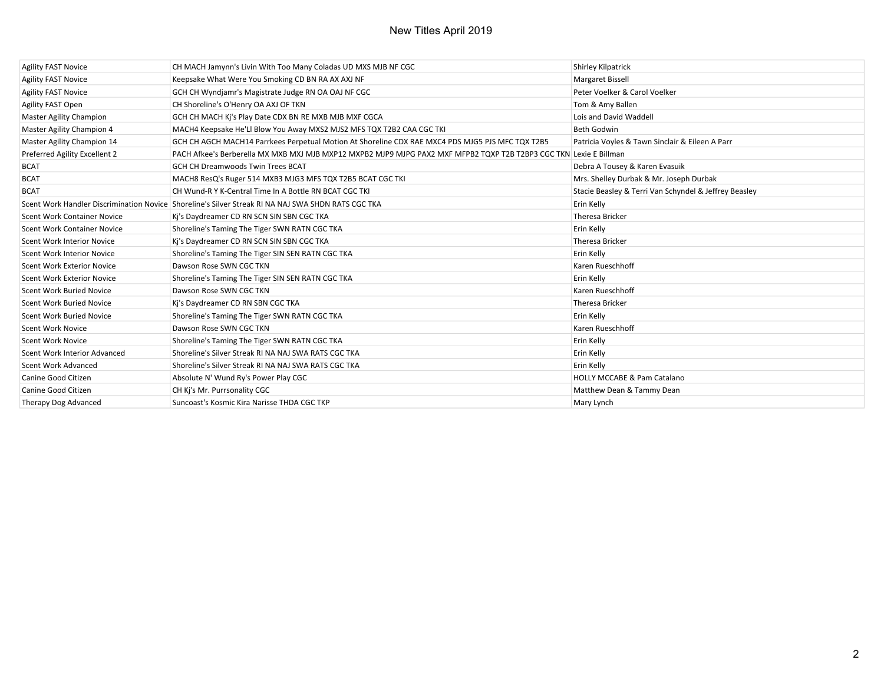| <b>Agility FAST Novice</b>         | CH MACH Jamynn's Livin With Too Many Coladas UD MXS MJB NF CGC                                                     | <b>Shirley Kilpatrick</b>                             |
|------------------------------------|--------------------------------------------------------------------------------------------------------------------|-------------------------------------------------------|
| <b>Agility FAST Novice</b>         | Keepsake What Were You Smoking CD BN RA AX AXJ NF                                                                  | <b>Margaret Bissell</b>                               |
| <b>Agility FAST Novice</b>         | GCH CH Wyndjamr's Magistrate Judge RN OA OAJ NF CGC                                                                | Peter Voelker & Carol Voelker                         |
| <b>Agility FAST Open</b>           | CH Shoreline's O'Henry OA AXJ OF TKN                                                                               | Tom & Amy Ballen                                      |
| <b>Master Agility Champion</b>     | GCH CH MACH Kj's Play Date CDX BN RE MXB MJB MXF CGCA                                                              | Lois and David Waddell                                |
| Master Agility Champion 4          | MACH4 Keepsake He'Ll Blow You Away MXS2 MJS2 MFS TQX T2B2 CAA CGC TKI                                              | <b>Beth Godwin</b>                                    |
| Master Agility Champion 14         | GCH CH AGCH MACH14 Parrkees Perpetual Motion At Shoreline CDX RAE MXC4 PDS MJG5 PJS MFC TQX T2B5                   | Patricia Voyles & Tawn Sinclair & Eileen A Parr       |
| Preferred Agility Excellent 2      | PACH Afkee's Berberella MX MXB MXJ MJB MXP12 MXPB2 MJP9 MJPG PAX2 MXF MFPB2 TQXP T2B T2BP3 CGC TKN Lexie E Billman |                                                       |
| <b>BCAT</b>                        | <b>GCH CH Dreamwoods Twin Trees BCAT</b>                                                                           | Debra A Tousey & Karen Evasuik                        |
| <b>BCAT</b>                        | MACH8 ResQ's Ruger 514 MXB3 MJG3 MFS TQX T2B5 BCAT CGC TKI                                                         | Mrs. Shelley Durbak & Mr. Joseph Durbak               |
| <b>BCAT</b>                        | CH Wund-R Y K-Central Time In A Bottle RN BCAT CGC TKI                                                             | Stacie Beasley & Terri Van Schyndel & Jeffrey Beasley |
|                                    | Scent Work Handler Discrimination Novice Shoreline's Silver Streak RI NA NAJ SWA SHDN RATS CGC TKA                 | Erin Kelly                                            |
| <b>Scent Work Container Novice</b> | Kj's Daydreamer CD RN SCN SIN SBN CGC TKA                                                                          | <b>Theresa Bricker</b>                                |
| <b>Scent Work Container Novice</b> | Shoreline's Taming The Tiger SWN RATN CGC TKA                                                                      | Erin Kelly                                            |
| Scent Work Interior Novice         | Kj's Daydreamer CD RN SCN SIN SBN CGC TKA                                                                          | Theresa Bricker                                       |
| Scent Work Interior Novice         | Shoreline's Taming The Tiger SIN SEN RATN CGC TKA                                                                  | Erin Kelly                                            |
| <b>Scent Work Exterior Novice</b>  | Dawson Rose SWN CGC TKN                                                                                            | Karen Rueschhoff                                      |
| <b>Scent Work Exterior Novice</b>  | Shoreline's Taming The Tiger SIN SEN RATN CGC TKA                                                                  | Erin Kelly                                            |
| <b>Scent Work Buried Novice</b>    | Dawson Rose SWN CGC TKN                                                                                            | Karen Rueschhoff                                      |
| <b>Scent Work Buried Novice</b>    | Kj's Daydreamer CD RN SBN CGC TKA                                                                                  | Theresa Bricker                                       |
| <b>Scent Work Buried Novice</b>    | Shoreline's Taming The Tiger SWN RATN CGC TKA                                                                      | Erin Kelly                                            |
| <b>Scent Work Novice</b>           | Dawson Rose SWN CGC TKN                                                                                            | Karen Rueschhoff                                      |
| <b>Scent Work Novice</b>           | Shoreline's Taming The Tiger SWN RATN CGC TKA                                                                      | Erin Kelly                                            |
| Scent Work Interior Advanced       | Shoreline's Silver Streak RI NA NAJ SWA RATS CGC TKA                                                               | Erin Kelly                                            |
| Scent Work Advanced                | Shoreline's Silver Streak RJ NA NAJ SWA RATS CGC TKA                                                               | Erin Kelly                                            |
| Canine Good Citizen                | Absolute N' Wund Ry's Power Play CGC                                                                               | <b>HOLLY MCCABE &amp; Pam Catalano</b>                |
| Canine Good Citizen                | CH Kj's Mr. Purrsonality CGC                                                                                       | Matthew Dean & Tammy Dean                             |
| Therapy Dog Advanced               | Suncoast's Kosmic Kira Narisse THDA CGC TKP                                                                        | Mary Lynch                                            |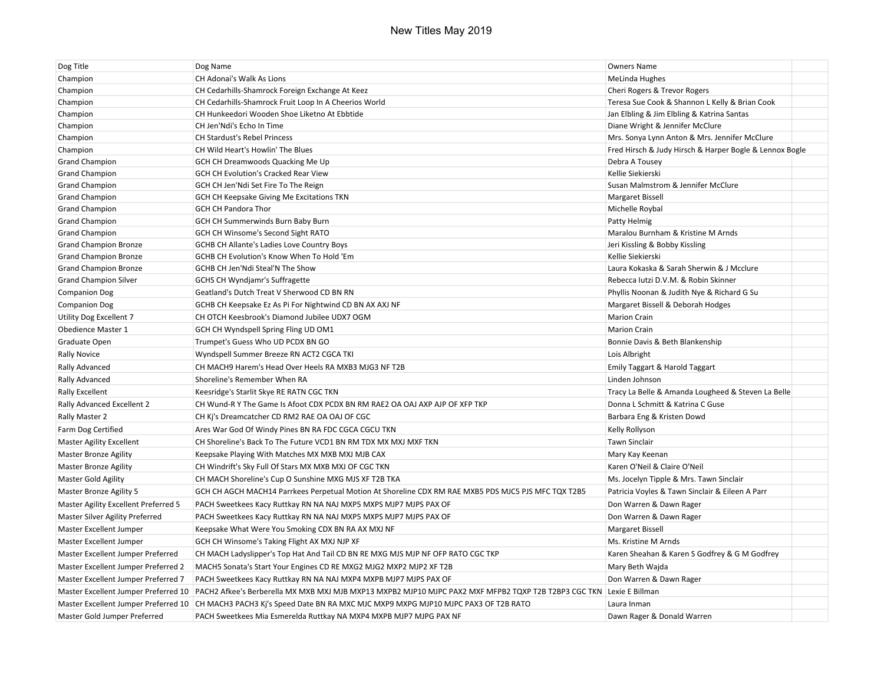| Dog Title                            | Dog Name                                                                                                                | <b>Owners Name</b>                                      |  |
|--------------------------------------|-------------------------------------------------------------------------------------------------------------------------|---------------------------------------------------------|--|
| Champion                             | CH Adonai's Walk As Lions                                                                                               | <b>MeLinda Hughes</b>                                   |  |
| Champion                             | CH Cedarhills-Shamrock Foreign Exchange At Keez                                                                         | Cheri Rogers & Trevor Rogers                            |  |
| Champion                             | CH Cedarhills-Shamrock Fruit Loop In A Cheerios World                                                                   | Teresa Sue Cook & Shannon L Kelly & Brian Cook          |  |
| Champion                             | CH Hunkeedori Wooden Shoe Liketno At Ebbtide                                                                            | Jan Elbling & Jim Elbling & Katrina Santas              |  |
| Champion                             | CH Jen'Ndi's Echo In Time                                                                                               | Diane Wright & Jennifer McClure                         |  |
| Champion                             | <b>CH Stardust's Rebel Princess</b>                                                                                     | Mrs. Sonya Lynn Anton & Mrs. Jennifer McClure           |  |
| Champion                             | CH Wild Heart's Howlin' The Blues                                                                                       | Fred Hirsch & Judy Hirsch & Harper Bogle & Lennox Bogle |  |
| <b>Grand Champion</b>                | GCH CH Dreamwoods Quacking Me Up                                                                                        | Debra A Tousey                                          |  |
| <b>Grand Champion</b>                | GCH CH Evolution's Cracked Rear View                                                                                    | Kellie Siekierski                                       |  |
| <b>Grand Champion</b>                | GCH CH Jen'Ndi Set Fire To The Reign                                                                                    | Susan Malmstrom & Jennifer McClure                      |  |
| <b>Grand Champion</b>                | GCH CH Keepsake Giving Me Excitations TKN                                                                               | <b>Margaret Bissell</b>                                 |  |
| <b>Grand Champion</b>                | <b>GCH CH Pandora Thor</b>                                                                                              | Michelle Roybal                                         |  |
| <b>Grand Champion</b>                | GCH CH Summerwinds Burn Baby Burn                                                                                       | Patty Helmig                                            |  |
| <b>Grand Champion</b>                | GCH CH Winsome's Second Sight RATO                                                                                      | Maralou Burnham & Kristine M Arnds                      |  |
| Grand Champion Bronze                | <b>GCHB CH Allante's Ladies Love Country Boys</b>                                                                       | Jeri Kissling & Bobby Kissling                          |  |
| Grand Champion Bronze                | GCHB CH Evolution's Know When To Hold 'Em                                                                               | Kellie Siekierski                                       |  |
| <b>Grand Champion Bronze</b>         | GCHB CH Jen'Ndi Steal'N The Show                                                                                        | Laura Kokaska & Sarah Sherwin & J Mcclure               |  |
| <b>Grand Champion Silver</b>         | <b>GCHS CH Wyndjamr's Suffragette</b>                                                                                   | Rebecca lutzi D.V.M. & Robin Skinner                    |  |
| <b>Companion Dog</b>                 | Geatland's Dutch Treat V Sherwood CD BN RN                                                                              | Phyllis Noonan & Judith Nye & Richard G Su              |  |
| <b>Companion Dog</b>                 | GCHB CH Keepsake Ez As Pi For Nightwind CD BN AX AXJ NF                                                                 | Margaret Bissell & Deborah Hodges                       |  |
| Utility Dog Excellent 7              | CH OTCH Keesbrook's Diamond Jubilee UDX7 OGM                                                                            | <b>Marion Crain</b>                                     |  |
| Obedience Master 1                   | GCH CH Wyndspell Spring Fling UD OM1                                                                                    | <b>Marion Crain</b>                                     |  |
| Graduate Open                        | Trumpet's Guess Who UD PCDX BN GO                                                                                       | Bonnie Davis & Beth Blankenship                         |  |
| <b>Rally Novice</b>                  | Wyndspell Summer Breeze RN ACT2 CGCA TKI                                                                                | Lois Albright                                           |  |
| Rally Advanced                       | CH MACH9 Harem's Head Over Heels RA MXB3 MJG3 NF T2B                                                                    | Emily Taggart & Harold Taggart                          |  |
| Rally Advanced                       | Shoreline's Remember When RA                                                                                            | Linden Johnson                                          |  |
| <b>Rally Excellent</b>               | Keesridge's Starlit Skye RE RATN CGC TKN                                                                                | Tracy La Belle & Amanda Lougheed & Steven La Belle      |  |
| Rally Advanced Excellent 2           | CH Wund-R Y The Game Is Afoot CDX PCDX BN RM RAE2 OA OAJ AXP AJP OF XFP TKP                                             | Donna L Schmitt & Katrina C Guse                        |  |
| Rally Master 2                       | CH Kj's Dreamcatcher CD RM2 RAE OA OAJ OF CGC                                                                           | Barbara Eng & Kristen Dowd                              |  |
| Farm Dog Certified                   | Ares War God Of Windy Pines BN RA FDC CGCA CGCU TKN                                                                     | Kelly Rollyson                                          |  |
| <b>Master Agility Excellent</b>      | CH Shoreline's Back To The Future VCD1 BN RM TDX MX MXJ MXF TKN                                                         | <b>Tawn Sinclair</b>                                    |  |
| <b>Master Bronze Agility</b>         | Keepsake Playing With Matches MX MXB MXJ MJB CAX                                                                        | Mary Kay Keenan                                         |  |
| <b>Master Bronze Agility</b>         | CH Windrift's Sky Full Of Stars MX MXB MXJ OF CGC TKN                                                                   | Karen O'Neil & Claire O'Neil                            |  |
| Master Gold Agility                  | CH MACH Shoreline's Cup O Sunshine MXG MJS XF T2B TKA                                                                   | Ms. Jocelyn Tipple & Mrs. Tawn Sinclair                 |  |
| Master Bronze Agility 5              | GCH CH AGCH MACH14 Parrkees Perpetual Motion At Shoreline CDX RM RAE MXB5 PDS MJC5 PJS MFC TQX T2B5                     | Patricia Voyles & Tawn Sinclair & Eileen A Parr         |  |
| Master Agility Excellent Preferred 5 | PACH Sweetkees Kacy Ruttkay RN NA NAJ MXP5 MXPS MJP7 MJPS PAX OF                                                        | Don Warren & Dawn Rager                                 |  |
| Master Silver Agility Preferred      | PACH Sweetkees Kacy Ruttkay RN NA NAJ MXP5 MXPS MJP7 MJPS PAX OF                                                        | Don Warren & Dawn Rager                                 |  |
| Master Excellent Jumper              | Keepsake What Were You Smoking CDX BN RA AX MXJ NF                                                                      | <b>Margaret Bissell</b>                                 |  |
| Master Excellent Jumper              | GCH CH Winsome's Taking Flight AX MXJ NJP XF                                                                            | Ms. Kristine M Arnds                                    |  |
| Master Excellent Jumper Preferred    | CH MACH Ladyslipper's Top Hat And Tail CD BN RE MXG MJS MJP NF OFP RATO CGC TKP                                         | Karen Sheahan & Karen S Godfrey & G M Godfrey           |  |
| Master Excellent Jumper Preferred 2  | MACH5 Sonata's Start Your Engines CD RE MXG2 MJG2 MXP2 MJP2 XF T2B                                                      | Mary Beth Wajda                                         |  |
| Master Excellent Jumper Preferred 7  | PACH Sweetkees Kacy Ruttkay RN NA NAJ MXP4 MXPB MJP7 MJPS PAX OF                                                        | Don Warren & Dawn Rager                                 |  |
| Master Excellent Jumper Preferred 10 | PACH2 Afkee's Berberella MX MXB MXJ MJB MXP13 MXPB2 MJP10 MJPC PAX2 MXF MFPB2 TQXP T2B T2BP3 CGC TKN                    | Lexie E Billman                                         |  |
|                                      | Master Excellent Jumper Preferred 10 CH MACH3 PACH3 Kj's Speed Date BN RA MXC MJC MXP9 MXPG MJP10 MJPC PAX3 OF T2B RATO | Laura Inman                                             |  |
| Master Gold Jumper Preferred         | PACH Sweetkees Mia Esmerelda Ruttkay NA MXP4 MXPB MJP7 MJPG PAX NF                                                      | Dawn Rager & Donald Warren                              |  |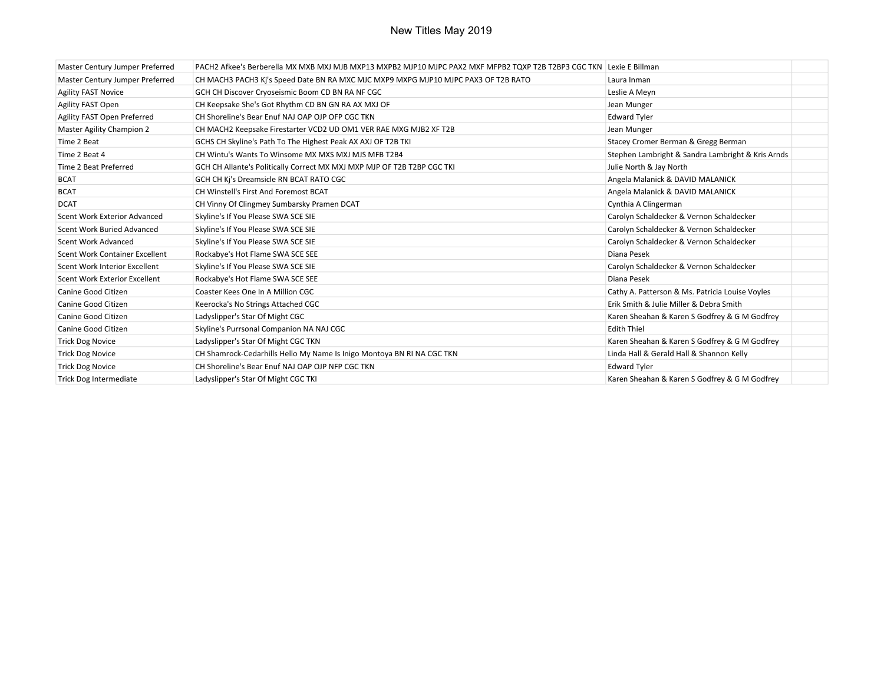| Master Century Jumper Preferred     | PACH2 Afkee's Berberella MX MXB MXJ MJB MXP13 MXPB2 MJP10 MJPC PAX2 MXF MFPB2 TQXP T2B T2BP3 CGC TKN Lexie E Billman |                                                   |  |
|-------------------------------------|----------------------------------------------------------------------------------------------------------------------|---------------------------------------------------|--|
| Master Century Jumper Preferred     | CH MACH3 PACH3 Kj's Speed Date BN RA MXC MJC MXP9 MXPG MJP10 MJPC PAX3 OF T2B RATO                                   | Laura Inman                                       |  |
| <b>Agility FAST Novice</b>          | GCH CH Discover Cryoseismic Boom CD BN RA NF CGC                                                                     | Leslie A Meyn                                     |  |
| Agility FAST Open                   | CH Keepsake She's Got Rhythm CD BN GN RA AX MXJ OF                                                                   | Jean Munger                                       |  |
| Agility FAST Open Preferred         | CH Shoreline's Bear Enuf NAJ OAP OJP OFP CGC TKN                                                                     | <b>Edward Tyler</b>                               |  |
| Master Agility Champion 2           | CH MACH2 Keepsake Firestarter VCD2 UD OM1 VER RAE MXG MJB2 XF T2B                                                    | Jean Munger                                       |  |
| Time 2 Beat                         | GCHS CH Skyline's Path To The Highest Peak AX AXJ OF T2B TKI                                                         | Stacey Cromer Berman & Gregg Berman               |  |
| Time 2 Beat 4                       | CH Wintu's Wants To Winsome MX MXS MXJ MJS MFB T2B4                                                                  | Stephen Lambright & Sandra Lambright & Kris Arnds |  |
| Time 2 Beat Preferred               | GCH CH Allante's Politically Correct MX MXJ MXP MJP OF T2B T2BP CGC TKI                                              | Julie North & Jay North                           |  |
| <b>BCAT</b>                         | GCH CH Kj's Dreamsicle RN BCAT RATO CGC                                                                              | Angela Malanick & DAVID MALANICK                  |  |
| <b>BCAT</b>                         | CH Winstell's First And Foremost BCAT                                                                                | Angela Malanick & DAVID MALANICK                  |  |
| <b>DCAT</b>                         | CH Vinny Of Clingmey Sumbarsky Pramen DCAT                                                                           | Cynthia A Clingerman                              |  |
| <b>Scent Work Exterior Advanced</b> | Skyline's If You Please SWA SCE SIE                                                                                  | Carolyn Schaldecker & Vernon Schaldecker          |  |
| Scent Work Buried Advanced          | Skyline's If You Please SWA SCE SIE                                                                                  | Carolyn Schaldecker & Vernon Schaldecker          |  |
| <b>Scent Work Advanced</b>          | Skyline's If You Please SWA SCE SIE                                                                                  | Carolyn Schaldecker & Vernon Schaldecker          |  |
| Scent Work Container Excellent      | Rockabye's Hot Flame SWA SCE SEE                                                                                     | Diana Pesek                                       |  |
| Scent Work Interior Excellent       | Skyline's If You Please SWA SCE SIE                                                                                  | Carolyn Schaldecker & Vernon Schaldecker          |  |
| Scent Work Exterior Excellent       | Rockabye's Hot Flame SWA SCE SEE                                                                                     | Diana Pesek                                       |  |
| Canine Good Citizen                 | Coaster Kees One In A Million CGC                                                                                    | Cathy A. Patterson & Ms. Patricia Louise Voyles   |  |
| Canine Good Citizen                 | Keerocka's No Strings Attached CGC                                                                                   | Erik Smith & Julie Miller & Debra Smith           |  |
| Canine Good Citizen                 | Ladyslipper's Star Of Might CGC                                                                                      | Karen Sheahan & Karen S Godfrey & G M Godfrey     |  |
| Canine Good Citizen                 | Skyline's Purrsonal Companion NA NAJ CGC                                                                             | <b>Edith Thiel</b>                                |  |
| <b>Trick Dog Novice</b>             | Ladyslipper's Star Of Might CGC TKN                                                                                  | Karen Sheahan & Karen S Godfrey & G M Godfrey     |  |
| <b>Trick Dog Novice</b>             | CH Shamrock-Cedarhills Hello My Name Is Inigo Montoya BN RI NA CGC TKN                                               | Linda Hall & Gerald Hall & Shannon Kelly          |  |
| <b>Trick Dog Novice</b>             | CH Shoreline's Bear Enuf NAJ OAP OJP NFP CGC TKN                                                                     | <b>Edward Tyler</b>                               |  |
| Trick Dog Intermediate              | Ladyslipper's Star Of Might CGC TKI                                                                                  | Karen Sheahan & Karen S Godfrey & G M Godfrey     |  |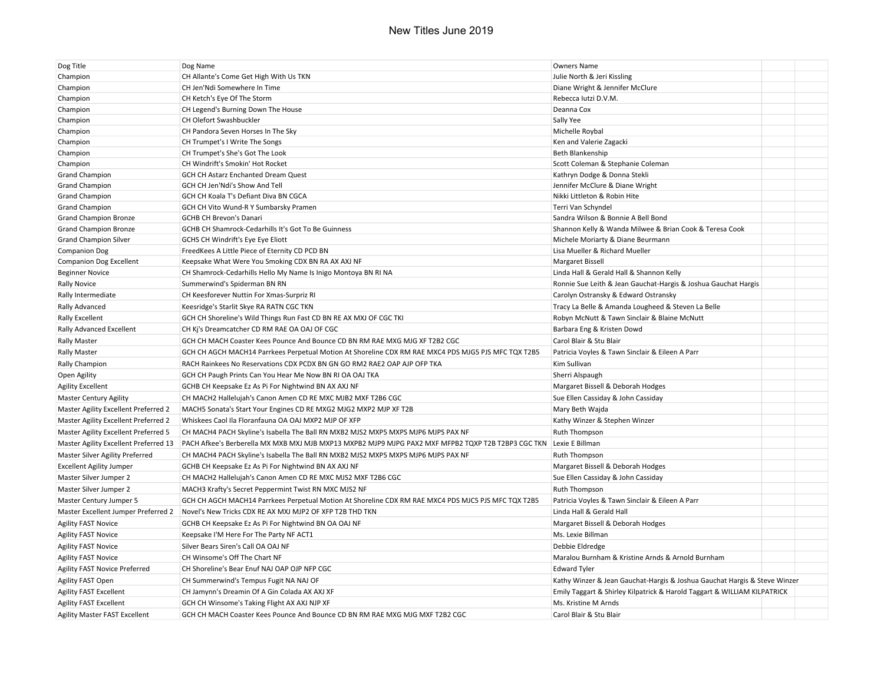| Dog Title                             | Dog Name                                                                                            | <b>Owners Name</b>                                                        |  |
|---------------------------------------|-----------------------------------------------------------------------------------------------------|---------------------------------------------------------------------------|--|
| Champion                              | CH Allante's Come Get High With Us TKN                                                              | Julie North & Jeri Kissling                                               |  |
| Champion                              | CH Jen'Ndi Somewhere In Time                                                                        | Diane Wright & Jennifer McClure                                           |  |
| Champion                              | CH Ketch's Eye Of The Storm                                                                         | Rebecca lutzi D.V.M.                                                      |  |
| Champion                              | CH Legend's Burning Down The House                                                                  | Deanna Cox                                                                |  |
| Champion                              | CH Olefort Swashbuckler                                                                             | <b>Sally Yee</b>                                                          |  |
| Champion                              | CH Pandora Seven Horses In The Sky                                                                  | Michelle Roybal                                                           |  |
| Champion                              | CH Trumpet's I Write The Songs                                                                      | Ken and Valerie Zagacki                                                   |  |
| Champion                              | CH Trumpet's She's Got The Look                                                                     | Beth Blankenship                                                          |  |
| Champion                              | CH Windrift's Smokin' Hot Rocket                                                                    | Scott Coleman & Stephanie Coleman                                         |  |
| <b>Grand Champion</b>                 | GCH CH Astarz Enchanted Dream Quest                                                                 | Kathryn Dodge & Donna Stekli                                              |  |
| <b>Grand Champion</b>                 | GCH CH Jen'Ndi's Show And Tell                                                                      | Jennifer McClure & Diane Wright                                           |  |
| <b>Grand Champion</b>                 | GCH CH Koala T's Defiant Diva BN CGCA                                                               | Nikki Littleton & Robin Hite                                              |  |
| <b>Grand Champion</b>                 | GCH CH Vito Wund-R Y Sumbarsky Pramen                                                               | Terri Van Schyndel                                                        |  |
| <b>Grand Champion Bronze</b>          | <b>GCHB CH Brevon's Danari</b>                                                                      | Sandra Wilson & Bonnie A Bell Bond                                        |  |
| <b>Grand Champion Bronze</b>          | GCHB CH Shamrock-Cedarhills It's Got To Be Guinness                                                 | Shannon Kelly & Wanda Milwee & Brian Cook & Teresa Cook                   |  |
| <b>Grand Champion Silver</b>          | GCHS CH Windrift's Eye Eye Eliott                                                                   | Michele Moriarty & Diane Beurmann                                         |  |
| <b>Companion Dog</b>                  | FreedKees A Little Piece of Eternity CD PCD BN                                                      | Lisa Mueller & Richard Mueller                                            |  |
| <b>Companion Dog Excellent</b>        | Keepsake What Were You Smoking CDX BN RA AX AXJ NF                                                  | <b>Margaret Bissell</b>                                                   |  |
| <b>Beginner Novice</b>                | CH Shamrock-Cedarhills Hello My Name Is Inigo Montoya BN RI NA                                      | Linda Hall & Gerald Hall & Shannon Kelly                                  |  |
| <b>Rally Novice</b>                   | Summerwind's Spiderman BN RN                                                                        | Ronnie Sue Leith & Jean Gauchat-Hargis & Joshua Gauchat Hargis            |  |
| Rally Intermediate                    | CH Keesforever Nuttin For Xmas-Surpriz RI                                                           | Carolyn Ostransky & Edward Ostransky                                      |  |
| Rally Advanced                        | Keesridge's Starlit Skye RA RATN CGC TKN                                                            | Tracy La Belle & Amanda Lougheed & Steven La Belle                        |  |
| <b>Rally Excellent</b>                | GCH CH Shoreline's Wild Things Run Fast CD BN RE AX MXJ OF CGC TKI                                  | Robyn McNutt & Tawn Sinclair & Blaine McNutt                              |  |
| <b>Rally Advanced Excellent</b>       | CH Kj's Dreamcatcher CD RM RAE OA OAJ OF CGC                                                        | Barbara Eng & Kristen Dowd                                                |  |
| <b>Rally Master</b>                   | GCH CH MACH Coaster Kees Pounce And Bounce CD BN RM RAE MXG MJG XF T2B2 CGC                         | Carol Blair & Stu Blair                                                   |  |
| <b>Rally Master</b>                   | GCH CH AGCH MACH14 Parrkees Perpetual Motion At Shoreline CDX RM RAE MXC4 PDS MJG5 PJS MFC TQX T2B5 | Patricia Voyles & Tawn Sinclair & Eileen A Parr                           |  |
| Rally Champion                        | RACH Rainkees No Reservations CDX PCDX BN GN GO RM2 RAE2 OAP AJP OFP TKA                            | Kim Sullivan                                                              |  |
| Open Agility                          | GCH CH Paugh Prints Can You Hear Me Now BN RI OA OAJ TKA                                            | Sherri Alspaugh                                                           |  |
| <b>Agility Excellent</b>              | GCHB CH Keepsake Ez As Pi For Nightwind BN AX AXJ NF                                                | Margaret Bissell & Deborah Hodges                                         |  |
| <b>Master Century Agility</b>         | CH MACH2 Hallelujah's Canon Amen CD RE MXC MJB2 MXF T2B6 CGC                                        | Sue Ellen Cassiday & John Cassiday                                        |  |
| Master Agility Excellent Preferred 2  | MACH5 Sonata's Start Your Engines CD RE MXG2 MJG2 MXP2 MJP XF T2B                                   | Mary Beth Wajda                                                           |  |
| Master Agility Excellent Preferred 2  | Whiskees Caol IIa Floranfauna OA OAJ MXP2 MJP OF XFP                                                | Kathy Winzer & Stephen Winzer                                             |  |
| Master Agility Excellent Preferred 5  | CH MACH4 PACH Skyline's Isabella The Ball RN MXB2 MJS2 MXP5 MXPS MJP6 MJPS PAX NF                   | Ruth Thompson                                                             |  |
| Master Agility Excellent Preferred 13 | PACH Afkee's Berberella MX MXB MXJ MJB MXP13 MXPB2 MJP9 MJPG PAX2 MXF MFPB2 TQXP T2B T2BP3 CGC TKN  | Lexie E Billman                                                           |  |
| Master Silver Agility Preferred       | CH MACH4 PACH Skyline's Isabella The Ball RN MXB2 MJS2 MXP5 MXPS MJP6 MJPS PAX NF                   | Ruth Thompson                                                             |  |
| <b>Excellent Agility Jumper</b>       | GCHB CH Keepsake Ez As Pi For Nightwind BN AX AXJ NF                                                | Margaret Bissell & Deborah Hodges                                         |  |
| Master Silver Jumper 2                | CH MACH2 Hallelujah's Canon Amen CD RE MXC MJS2 MXF T2B6 CGC                                        | Sue Ellen Cassiday & John Cassiday                                        |  |
| Master Silver Jumper 2                | MACH3 Krafty's Secret Peppermint Twist RN MXC MJS2 NF                                               | Ruth Thompson                                                             |  |
| Master Century Jumper 5               | GCH CH AGCH MACH14 Parrkees Perpetual Motion At Shoreline CDX RM RAE MXC4 PDS MJC5 PJS MFC TQX T2B5 | Patricia Voyles & Tawn Sinclair & Eileen A Parr                           |  |
| Master Excellent Jumper Preferred 2   | Novel's New Tricks CDX RE AX MXJ MJP2 OF XFP T2B THD TKN                                            | Linda Hall & Gerald Hall                                                  |  |
| <b>Agility FAST Novice</b>            | GCHB CH Keepsake Ez As Pi For Nightwind BN OA OAJ NF                                                | Margaret Bissell & Deborah Hodges                                         |  |
| <b>Agility FAST Novice</b>            | Keepsake I'M Here For The Party NF ACT1                                                             | Ms. Lexie Billman                                                         |  |
| <b>Agility FAST Novice</b>            | Silver Bears Siren's Call OA OAJ NF                                                                 | Debbie Eldredge                                                           |  |
| <b>Agility FAST Novice</b>            | CH Winsome's Off The Chart NF                                                                       | Maralou Burnham & Kristine Arnds & Arnold Burnham                         |  |
| Agility FAST Novice Preferred         | CH Shoreline's Bear Enuf NAJ OAP OJP NFP CGC                                                        | <b>Edward Tyler</b>                                                       |  |
|                                       | CH Summerwind's Tempus Fugit NA NAJ OF                                                              | Kathy Winzer & Jean Gauchat-Hargis & Joshua Gauchat Hargis & Steve Winzer |  |
| <b>Agility FAST Open</b>              |                                                                                                     |                                                                           |  |
| <b>Agility FAST Excellent</b>         | CH Jamynn's Dreamin Of A Gin Colada AX AXJ XF                                                       | Emily Taggart & Shirley Kilpatrick & Harold Taggart & WILLIAM KILPATRICK  |  |
| <b>Agility FAST Excellent</b>         | GCH CH Winsome's Taking Flight AX AXJ NJP XF                                                        | Ms. Kristine M Arnds                                                      |  |
| <b>Agility Master FAST Excellent</b>  | GCH CH MACH Coaster Kees Pounce And Bounce CD BN RM RAE MXG MJG MXF T2B2 CGC                        | Carol Blair & Stu Blair                                                   |  |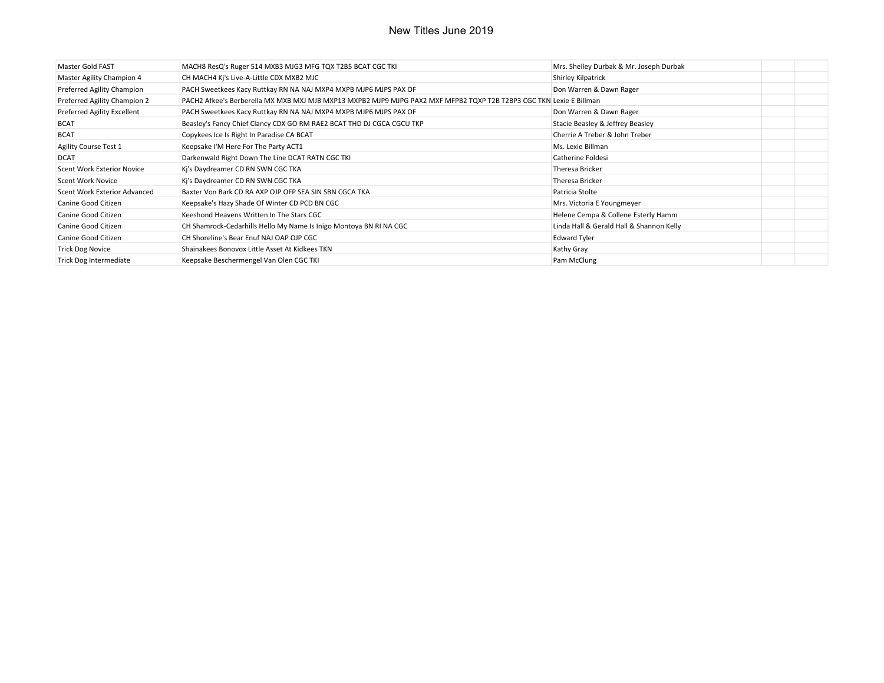| Master Gold FAST             | MACH8 ResQ's Ruger 514 MXB3 MJG3 MFG TQX T2B5 BCAT CGC TKI                                                          | Mrs. Shelley Durbak & Mr. Joseph Durbak  |  |
|------------------------------|---------------------------------------------------------------------------------------------------------------------|------------------------------------------|--|
| Master Agility Champion 4    | CH MACH4 Kj's Live-A-Little CDX MXB2 MJC                                                                            | Shirley Kilpatrick                       |  |
| Preferred Agility Champion   | PACH Sweetkees Kacy Ruttkay RN NA NAJ MXP4 MXPB MJP6 MJPS PAX OF                                                    | Don Warren & Dawn Rager                  |  |
| Preferred Agility Champion 2 | PACH2 Afkee's Berberella MX MXB MXJ MJB MXP13 MXPB2 MJP9 MJPG PAX2 MXF MFPB2 TQXP T2B T2BP3 CGC TKN Lexie E Billman |                                          |  |
| Preferred Agility Excellent  | PACH Sweetkees Kacy Ruttkay RN NA NAJ MXP4 MXPB MJP6 MJPS PAX OF                                                    | Don Warren & Dawn Rager                  |  |
| <b>BCAT</b>                  | Beasley's Fancy Chief Clancy CDX GO RM RAE2 BCAT THD DJ CGCA CGCU TKP                                               | Stacie Beasley & Jeffrey Beasley         |  |
| <b>BCAT</b>                  | Copykees Ice Is Right In Paradise CA BCAT                                                                           | Cherrie A Treber & John Treber           |  |
| Agility Course Test 1        | Keepsake I'M Here For The Party ACT1                                                                                | Ms. Lexie Billman                        |  |
| <b>DCAT</b>                  | Darkenwald Right Down The Line DCAT RATN CGC TKI                                                                    | Catherine Foldesi                        |  |
| Scent Work Exterior Novice   | Ki's Daydreamer CD RN SWN CGC TKA                                                                                   | Theresa Bricker                          |  |
| Scent Work Novice            | Ki's Daydreamer CD RN SWN CGC TKA                                                                                   | Theresa Bricker                          |  |
| Scent Work Exterior Advanced | Baxter Von Bark CD RA AXP OJP OFP SEA SIN SBN CGCA TKA                                                              | Patricia Stolte                          |  |
| Canine Good Citizen          | Keepsake's Hazy Shade Of Winter CD PCD BN CGC                                                                       | Mrs. Victoria E Youngmeyer               |  |
| Canine Good Citizen          | Keeshond Heavens Written In The Stars CGC                                                                           | Helene Cempa & Collene Esterly Hamm      |  |
| Canine Good Citizen          | CH Shamrock-Cedarhills Hello My Name Is Inigo Montoya BN RI NA CGC                                                  | Linda Hall & Gerald Hall & Shannon Kelly |  |
| Canine Good Citizen          | CH Shoreline's Bear Enuf NAJ OAP OJP CGC                                                                            | <b>Edward Tyler</b>                      |  |
| <b>Trick Dog Novice</b>      | Shainakees Bonovox Little Asset At Kidkees TKN                                                                      | Kathy Gray                               |  |
| Trick Dog Intermediate       | Keepsake Beschermengel Van Olen CGC TKI                                                                             | Pam McClung                              |  |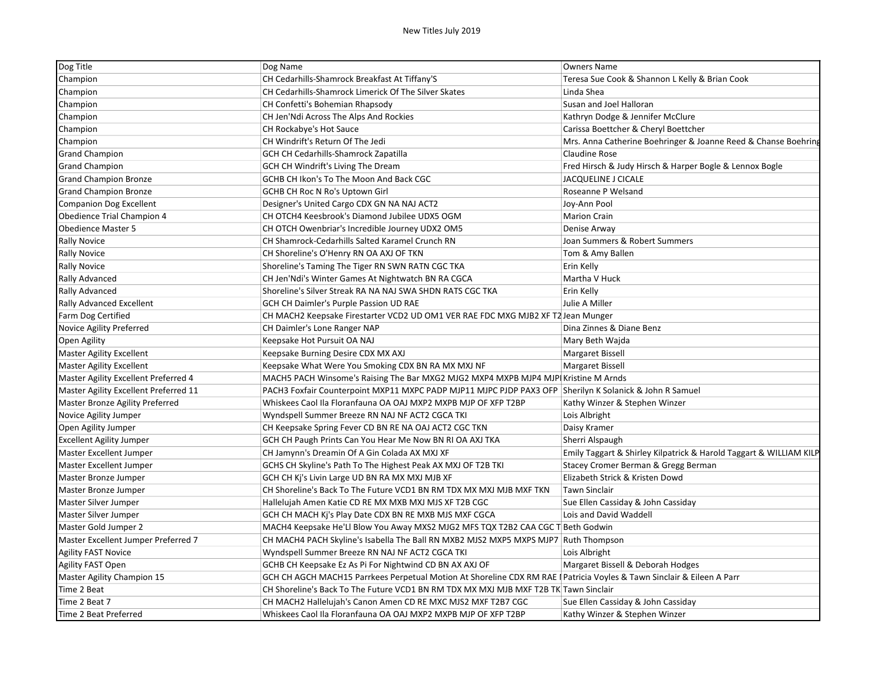| Dog Title                             | Dog Name                                                                                                              | <b>Owners Name</b>                                                 |
|---------------------------------------|-----------------------------------------------------------------------------------------------------------------------|--------------------------------------------------------------------|
| Champion                              | CH Cedarhills-Shamrock Breakfast At Tiffany'S                                                                         | Teresa Sue Cook & Shannon L Kelly & Brian Cook                     |
| Champion                              | CH Cedarhills-Shamrock Limerick Of The Silver Skates                                                                  | Linda Shea                                                         |
| Champion                              | CH Confetti's Bohemian Rhapsody                                                                                       | Susan and Joel Halloran                                            |
| Champion                              | CH Jen'Ndi Across The Alps And Rockies                                                                                | Kathryn Dodge & Jennifer McClure                                   |
| Champion                              | CH Rockabye's Hot Sauce                                                                                               | Carissa Boettcher & Cheryl Boettcher                               |
| Champion                              | CH Windrift's Return Of The Jedi                                                                                      | Mrs. Anna Catherine Boehringer & Joanne Reed & Chanse Boehring     |
| <b>Grand Champion</b>                 | GCH CH Cedarhills-Shamrock Zapatilla                                                                                  | <b>Claudine Rose</b>                                               |
| <b>Grand Champion</b>                 | GCH CH Windrift's Living The Dream                                                                                    | Fred Hirsch & Judy Hirsch & Harper Bogle & Lennox Bogle            |
| <b>Grand Champion Bronze</b>          | GCHB CH Ikon's To The Moon And Back CGC                                                                               | JACQUELINE J CICALE                                                |
| <b>Grand Champion Bronze</b>          | GCHB CH Roc N Ro's Uptown Girl                                                                                        | Roseanne P Welsand                                                 |
| <b>Companion Dog Excellent</b>        | Designer's United Cargo CDX GN NA NAJ ACT2                                                                            | Joy-Ann Pool                                                       |
| Obedience Trial Champion 4            | CH OTCH4 Keesbrook's Diamond Jubilee UDX5 OGM                                                                         | <b>Marion Crain</b>                                                |
| <b>Obedience Master 5</b>             | CH OTCH Owenbriar's Incredible Journey UDX2 OM5                                                                       | Denise Arway                                                       |
| <b>Rally Novice</b>                   | CH Shamrock-Cedarhills Salted Karamel Crunch RN                                                                       | Joan Summers & Robert Summers                                      |
| <b>Rally Novice</b>                   | CH Shoreline's O'Henry RN OA AXJ OF TKN                                                                               | Tom & Amy Ballen                                                   |
| <b>Rally Novice</b>                   | Shoreline's Taming The Tiger RN SWN RATN CGC TKA                                                                      | Erin Kelly                                                         |
| Rally Advanced                        | CH Jen'Ndi's Winter Games At Nightwatch BN RA CGCA                                                                    | Martha V Huck                                                      |
| Rally Advanced                        | Shoreline's Silver Streak RA NA NAJ SWA SHDN RATS CGC TKA                                                             | Erin Kelly                                                         |
| <b>Rally Advanced Excellent</b>       | GCH CH Daimler's Purple Passion UD RAE                                                                                | Julie A Miller                                                     |
| Farm Dog Certified                    | CH MACH2 Keepsake Firestarter VCD2 UD OM1 VER RAE FDC MXG MJB2 XF T2 Jean Munger                                      |                                                                    |
| Novice Agility Preferred              | CH Daimler's Lone Ranger NAP                                                                                          | Dina Zinnes & Diane Benz                                           |
| Open Agility                          | Keepsake Hot Pursuit OA NAJ                                                                                           | Mary Beth Wajda                                                    |
| <b>Master Agility Excellent</b>       | Keepsake Burning Desire CDX MX AXJ                                                                                    | <b>Margaret Bissell</b>                                            |
| <b>Master Agility Excellent</b>       | Keepsake What Were You Smoking CDX BN RA MX MXJ NF                                                                    | <b>Margaret Bissell</b>                                            |
| Master Agility Excellent Preferred 4  | MACH5 PACH Winsome's Raising The Bar MXG2 MJG2 MXP4 MXPB MJP4 MJPI Kristine M Arnds                                   |                                                                    |
| Master Agility Excellent Preferred 11 | PACH3 Foxfair Counterpoint MXP11 MXPC PADP MJP11 MJPC PJDP PAX3 OFP Sherilyn K Solanick & John R Samuel               |                                                                    |
| Master Bronze Agility Preferred       | Whiskees Caol Ila Floranfauna OA OAJ MXP2 MXPB MJP OF XFP T2BP                                                        | Kathy Winzer & Stephen Winzer                                      |
| Novice Agility Jumper                 | Wyndspell Summer Breeze RN NAJ NF ACT2 CGCA TKI                                                                       | Lois Albright                                                      |
| Open Agility Jumper                   | CH Keepsake Spring Fever CD BN RE NA OAJ ACT2 CGC TKN                                                                 | Daisy Kramer                                                       |
| <b>Excellent Agility Jumper</b>       | GCH CH Paugh Prints Can You Hear Me Now BN RI OA AXJ TKA                                                              | Sherri Alspaugh                                                    |
| Master Excellent Jumper               | CH Jamynn's Dreamin Of A Gin Colada AX MXJ XF                                                                         | Emily Taggart & Shirley Kilpatrick & Harold Taggart & WILLIAM KILF |
| Master Excellent Jumper               | GCHS CH Skyline's Path To The Highest Peak AX MXJ OF T2B TKI                                                          | Stacey Cromer Berman & Gregg Berman                                |
| Master Bronze Jumper                  | GCH CH Kj's Livin Large UD BN RA MX MXJ MJB XF                                                                        | Elizabeth Strick & Kristen Dowd                                    |
| Master Bronze Jumper                  | CH Shoreline's Back To The Future VCD1 BN RM TDX MX MXJ MJB MXF TKN                                                   | Tawn Sinclair                                                      |
| Master Silver Jumper                  | Hallelujah Amen Katie CD RE MX MXB MXJ MJS XF T2B CGC                                                                 | Sue Ellen Cassiday & John Cassiday                                 |
| Master Silver Jumper                  | GCH CH MACH Kj's Play Date CDX BN RE MXB MJS MXF CGCA                                                                 | Lois and David Waddell                                             |
| Master Gold Jumper 2                  | MACH4 Keepsake He'Ll Blow You Away MXS2 MJG2 MFS TQX T2B2 CAA CGC T Beth Godwin                                       |                                                                    |
| Master Excellent Jumper Preferred 7   | CH MACH4 PACH Skyline's Isabella The Ball RN MXB2 MJS2 MXP5 MXPS MJP7   Ruth Thompson                                 |                                                                    |
| <b>Agility FAST Novice</b>            | Wyndspell Summer Breeze RN NAJ NF ACT2 CGCA TKI                                                                       | Lois Albright                                                      |
| Agility FAST Open                     | GCHB CH Keepsake Ez As Pi For Nightwind CD BN AX AXJ OF                                                               | Margaret Bissell & Deborah Hodges                                  |
| Master Agility Champion 15            | GCH CH AGCH MACH15 Parrkees Perpetual Motion At Shoreline CDX RM RAE (Patricia Voyles & Tawn Sinclair & Eileen A Parr |                                                                    |
| Time 2 Beat                           | CH Shoreline's Back To The Future VCD1 BN RM TDX MX MXJ MJB MXF T2B TK Tawn Sinclair                                  |                                                                    |
| Time 2 Beat 7                         | CH MACH2 Hallelujah's Canon Amen CD RE MXC MJS2 MXF T2B7 CGC                                                          | Sue Ellen Cassiday & John Cassiday                                 |
| Time 2 Beat Preferred                 | Whiskees Caol Ila Floranfauna OA OAJ MXP2 MXPB MJP OF XFP T2BP                                                        | Kathy Winzer & Stephen Winzer                                      |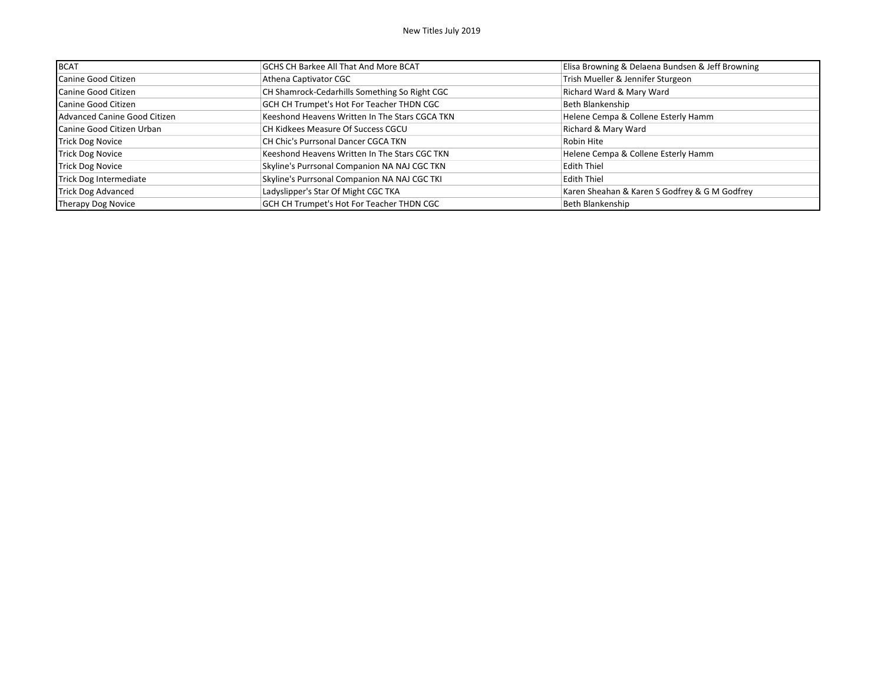| <b>BCAT</b>                         | GCHS CH Barkee All That And More BCAT          | Elisa Browning & Delaena Bundsen & Jeff Browning |
|-------------------------------------|------------------------------------------------|--------------------------------------------------|
| Canine Good Citizen                 | Athena Captivator CGC                          | Trish Mueller & Jennifer Sturgeon                |
| Canine Good Citizen                 | CH Shamrock-Cedarhills Something So Right CGC  | Richard Ward & Mary Ward                         |
| Canine Good Citizen                 | GCH CH Trumpet's Hot For Teacher THDN CGC      | Beth Blankenship                                 |
| <b>Advanced Canine Good Citizen</b> | Keeshond Heavens Written In The Stars CGCA TKN | Helene Cempa & Collene Esterly Hamm              |
| Canine Good Citizen Urban           | CH Kidkees Measure Of Success CGCU             | Richard & Mary Ward                              |
| <b>Trick Dog Novice</b>             | CH Chic's Purrsonal Dancer CGCA TKN            | Robin Hite                                       |
| <b>Trick Dog Novice</b>             | Keeshond Heavens Written In The Stars CGC TKN  | Helene Cempa & Collene Esterly Hamm              |
| <b>Trick Dog Novice</b>             | Skyline's Purrsonal Companion NA NAJ CGC TKN   | <b>Edith Thiel</b>                               |
| <b>Trick Dog Intermediate</b>       | Skyline's Purrsonal Companion NA NAJ CGC TKI   | <b>Edith Thiel</b>                               |
| <b>Trick Dog Advanced</b>           | Ladyslipper's Star Of Might CGC TKA            | Karen Sheahan & Karen S Godfrey & G M Godfrey    |
| Therapy Dog Novice                  | GCH CH Trumpet's Hot For Teacher THDN CGC      | Beth Blankenship                                 |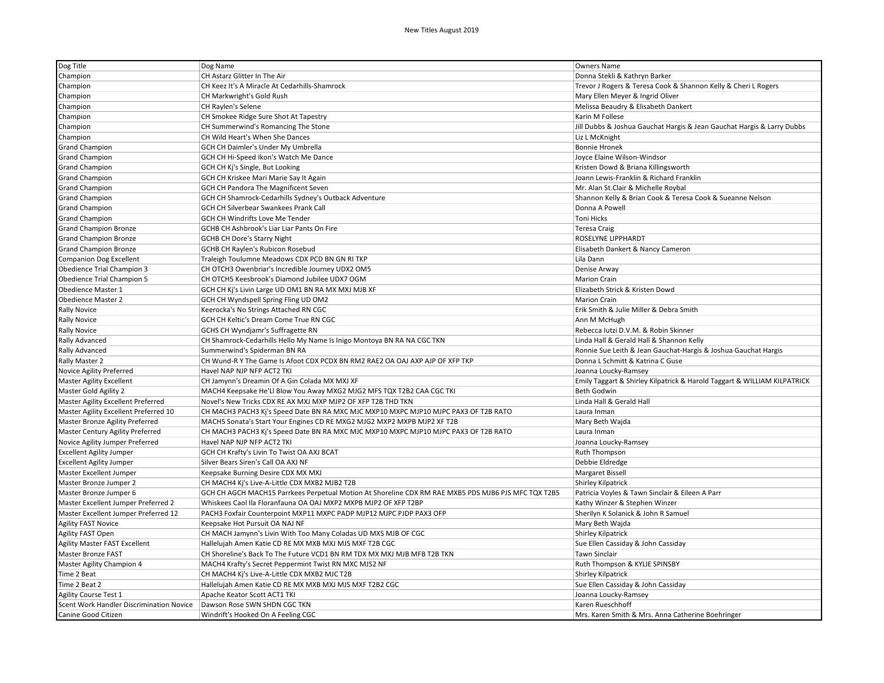| Dog Title                                                               | Dog Name                                                                                            | Owners Name                                                              |
|-------------------------------------------------------------------------|-----------------------------------------------------------------------------------------------------|--------------------------------------------------------------------------|
| Champion                                                                | CH Astarz Glitter In The Air                                                                        | Donna Stekli & Kathryn Barker                                            |
| Champion                                                                | CH Keez It's A Miracle At Cedarhills-Shamrock                                                       | Trevor J Rogers & Teresa Cook & Shannon Kelly & Cheri L Rogers           |
| Champion                                                                | CH Markwright's Gold Rush                                                                           | Mary Ellen Meyer & Ingrid Oliver                                         |
| Champion                                                                | CH Raylen's Selene                                                                                  | Melissa Beaudry & Elisabeth Dankert                                      |
| Champion                                                                | CH Smokee Ridge Sure Shot At Tapestry                                                               | Karin M Follese                                                          |
| Champion                                                                | CH Summerwind's Romancing The Stone                                                                 | Jill Dubbs & Joshua Gauchat Hargis & Jean Gauchat Hargis & Larry Dubbs   |
| Champion                                                                | CH Wild Heart's When She Dances                                                                     | Liz L McKnight                                                           |
| <b>Grand Champion</b>                                                   | GCH CH Daimler's Under My Umbrella                                                                  | <b>Bonnie Hronek</b>                                                     |
| <b>Grand Champion</b>                                                   | GCH CH Hi-Speed Ikon's Watch Me Dance                                                               | Joyce Elaine Wilson-Windsor                                              |
| <b>Grand Champion</b>                                                   | GCH CH Kj's Single, But Looking                                                                     | Kristen Dowd & Briana Killingsworth                                      |
| <b>Grand Champion</b>                                                   | GCH CH Kriskee Mari Marie Say It Again                                                              | Joann Lewis-Franklin & Richard Franklin                                  |
| <b>Grand Champion</b>                                                   | GCH CH Pandora The Magnificent Seven                                                                | Mr. Alan St.Clair & Michelle Roybal                                      |
| <b>Grand Champion</b>                                                   | GCH CH Shamrock-Cedarhills Sydney's Outback Adventure                                               | Shannon Kelly & Brian Cook & Teresa Cook & Sueanne Nelson                |
| <b>Grand Champion</b>                                                   | GCH CH Silverbear Swankees Prank Call                                                               | Donna A Powell                                                           |
| <b>Grand Champion</b>                                                   | <b>GCH CH Windrifts Love Me Tender</b>                                                              | <b>Toni Hicks</b>                                                        |
| <b>Grand Champion Bronze</b>                                            | GCHB CH Ashbrook's Liar Liar Pants On Fire                                                          | <b>Teresa Craig</b>                                                      |
| <b>Grand Champion Bronze</b>                                            | <b>GCHB CH Dore's Starry Night</b>                                                                  | <b>ROSELYNE LIPPHARDT</b>                                                |
| <b>Grand Champion Bronze</b>                                            | GCHB CH Raylen's Rubicon Rosebud                                                                    | Elisabeth Dankert & Nancy Cameron                                        |
| <b>Companion Dog Excellent</b>                                          | Traleigh Toulumne Meadows CDX PCD BN GN RI TKP                                                      | Lila Dann                                                                |
| Obedience Trial Champion 3                                              | CH OTCH3 Owenbriar's Incredible Journey UDX2 OM5                                                    | Denise Arway                                                             |
| Obedience Trial Champion 5                                              | CH OTCH5 Keesbrook's Diamond Jubilee UDX7 OGM                                                       | <b>Marion Crain</b>                                                      |
| Obedience Master 1                                                      | GCH CH Kj's Livin Large UD OM1 BN RA MX MXJ MJB XF                                                  | Elizabeth Strick & Kristen Dowd                                          |
| <b>Obedience Master 2</b>                                               | GCH CH Wyndspell Spring Fling UD OM2                                                                | <b>Marion Crain</b>                                                      |
| <b>Rally Novice</b>                                                     | Keerocka's No Strings Attached RN CGC                                                               | Erik Smith & Julie Miller & Debra Smith                                  |
| <b>Rally Novice</b>                                                     | GCH CH Keltic's Dream Come True RN CGC                                                              | Ann M McHugh                                                             |
| <b>Rally Novice</b>                                                     | GCHS CH Wyndjamr's Suffragette RN                                                                   | Rebecca Iutzi D.V.M. & Robin Skinner                                     |
| Rally Advanced                                                          | CH Shamrock-Cedarhills Hello My Name Is Inigo Montoya BN RA NA CGC TKN                              | Linda Hall & Gerald Hall & Shannon Kelly                                 |
| Rally Advanced                                                          | Summerwind's Spiderman BN RA                                                                        | Ronnie Sue Leith & Jean Gauchat-Hargis & Joshua Gauchat Hargis           |
| Rally Master 2                                                          | CH Wund-R Y The Game Is Afoot CDX PCDX BN RM2 RAE2 OA OAJ AXP AJP OF XFP TKP                        | Donna L Schmitt & Katrina C Guse                                         |
| Novice Agility Preferred                                                | Havel NAP NJP NFP ACT2 TKI                                                                          | Joanna Loucky-Ramsey                                                     |
| <b>Master Agility Excellent</b>                                         | CH Jamynn's Dreamin Of A Gin Colada MX MXJ XF                                                       | Emily Taggart & Shirley Kilpatrick & Harold Taggart & WILLIAM KILPATRICK |
| Master Gold Agility 2                                                   | MACH4 Keepsake He'Ll Blow You Away MXG2 MJG2 MFS TQX T2B2 CAA CGC TKI                               | <b>Beth Godwin</b>                                                       |
| Master Agility Excellent Preferred                                      | Novel's New Tricks CDX RE AX MXJ MXP MJP2 OF XFP T2B THD TKN                                        | Linda Hall & Gerald Hall                                                 |
| Master Agility Excellent Preferred 10                                   | CH MACH3 PACH3 Kj's Speed Date BN RA MXC MJC MXP10 MXPC MJP10 MJPC PAX3 OF T2B RATO                 | Laura Inman                                                              |
| Master Bronze Agility Preferred                                         | MACH5 Sonata's Start Your Engines CD RE MXG2 MJG2 MXP2 MXPB MJP2 XF T2B                             | Mary Beth Wajda                                                          |
| Master Century Agility Preferred                                        | CH MACH3 PACH3 Kj's Speed Date BN RA MXC MJC MXP10 MXPC MJP10 MJPC PAX3 OF T2B RATO                 | Laura Inman                                                              |
| Novice Agility Jumper Preferred                                         | Havel NAP NJP NFP ACT2 TKI                                                                          | Joanna Loucky-Ramsey                                                     |
| <b>Excellent Agility Jumper</b>                                         | GCH CH Krafty's Livin To Twist OA AXJ BCAT                                                          | Ruth Thompson                                                            |
| <b>Excellent Agility Jumper</b>                                         | Silver Bears Siren's Call OA AXJ NF                                                                 | Debbie Eldredge                                                          |
| Master Excellent Jumper                                                 | Keepsake Burning Desire CDX MX MXJ                                                                  | <b>Margaret Bissell</b>                                                  |
| Master Bronze Jumper 2                                                  | CH MACH4 Kj's Live-A-Little CDX MXB2 MJB2 T2B                                                       | <b>Shirley Kilpatrick</b>                                                |
| Master Bronze Jumper 6                                                  | GCH CH AGCH MACH15 Parrkees Perpetual Motion At Shoreline CDX RM RAE MXB5 PDS MJB6 PJS MFC TQX T2B5 | Patricia Voyles & Tawn Sinclair & Eileen A Parr                          |
| Master Excellent Jumper Preferred 2                                     | Whiskees Caol Ila Floranfauna OA OAJ MXP2 MXPB MJP2 OF XFP T2BP                                     | Kathy Winzer & Stephen Winzer                                            |
| Master Excellent Jumper Preferred 12                                    | PACH3 Foxfair Counterpoint MXP11 MXPC PADP MJP12 MJPC PJDP PAX3 OFP                                 | Sherilyn K Solanick & John R Samuel                                      |
| <b>Agility FAST Novice</b>                                              | Keepsake Hot Pursuit OA NAJ NF                                                                      | Mary Beth Wajda                                                          |
| Agility FAST Open                                                       | CH MACH Jamynn's Livin With Too Many Coladas UD MXS MJB OF CGC                                      | <b>Shirley Kilpatrick</b>                                                |
| <b>Agility Master FAST Excellent</b>                                    | Hallelujah Amen Katie CD RE MX MXB MXJ MJS MXF T2B CGC                                              | Sue Ellen Cassiday & John Cassiday                                       |
| <b>Master Bronze FAST</b>                                               | CH Shoreline's Back To The Future VCD1 BN RM TDX MX MXJ MJB MFB T2B TKN                             | <b>Tawn Sinclair</b>                                                     |
| Master Agility Champion 4                                               | MACH4 Krafty's Secret Peppermint Twist RN MXC MJS2 NF                                               | Ruth Thompson & KYLIE SPINSBY                                            |
| Time 2 Beat                                                             | CH MACH4 Kj's Live-A-Little CDX MXB2 MJC T2B                                                        | <b>Shirley Kilpatrick</b>                                                |
| Time 2 Beat 2                                                           | Hallelujah Amen Katie CD RE MX MXB MXJ MJS MXF T2B2 CGC                                             | Sue Ellen Cassiday & John Cassiday                                       |
| <b>Agility Course Test 1</b>                                            | Apache Keator Scott ACT1 TKI                                                                        | Joanna Loucky-Ramsey                                                     |
| Scent Work Handler Discrimination Novice   Dawson Rose SWN SHDN CGC TKN |                                                                                                     | Karen Rueschhoff                                                         |
| Canine Good Citizen                                                     | Windrift's Hooked On A Feeling CGC                                                                  | Mrs. Karen Smith & Mrs. Anna Catherine Boehringer                        |
|                                                                         |                                                                                                     |                                                                          |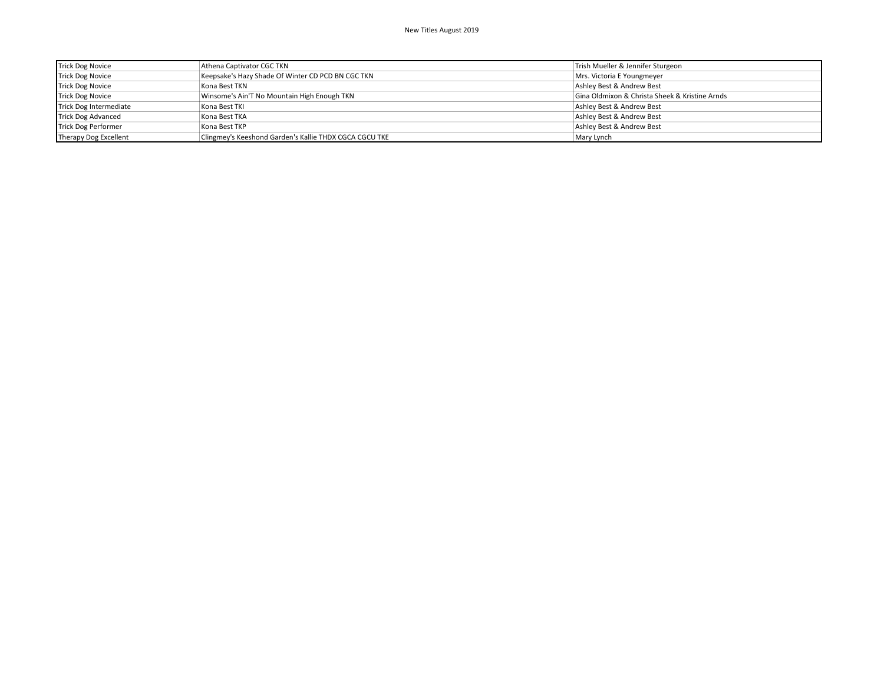| <b>Trick Dog Novice</b>       | Athena Captivator CGC TKN                              | Trish Mueller & Jennifer Sturgeon              |
|-------------------------------|--------------------------------------------------------|------------------------------------------------|
| <b>Trick Dog Novice</b>       | Keepsake's Hazy Shade Of Winter CD PCD BN CGC TKN      | Mrs. Victoria E Youngmeyer                     |
| <b>Trick Dog Novice</b>       | Kona Best TKN                                          | Ashley Best & Andrew Best                      |
| <b>Trick Dog Novice</b>       | Winsome's Ain'T No Mountain High Enough TKN            | Gina Oldmixon & Christa Sheek & Kristine Arnds |
| <b>Trick Dog Intermediate</b> | Kona Best TKI                                          | Ashley Best & Andrew Best                      |
| <b>Trick Dog Advanced</b>     | Kona Best TKA                                          | Ashley Best & Andrew Best                      |
| <b>Trick Dog Performer</b>    | Kona Best TKP                                          | Ashley Best & Andrew Best                      |
| Therapy Dog Excellent         | Clingmey's Keeshond Garden's Kallie THDX CGCA CGCU TKE | Mary Lynch                                     |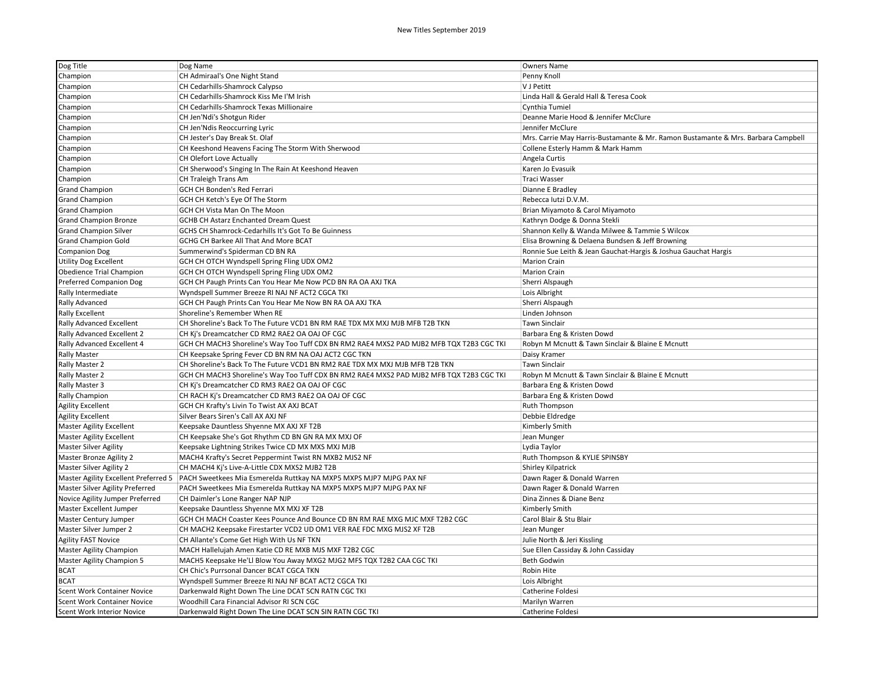| Dog Title                            | Dog Name                                                                                 | <b>Owners Name</b>                                                               |  |
|--------------------------------------|------------------------------------------------------------------------------------------|----------------------------------------------------------------------------------|--|
| Champion                             | CH Admiraal's One Night Stand                                                            | Penny Knoll                                                                      |  |
| Champion                             | CH Cedarhills-Shamrock Calypso                                                           | V J Petitt                                                                       |  |
| Champion                             | CH Cedarhills-Shamrock Kiss Me I'M Irish                                                 | Linda Hall & Gerald Hall & Teresa Cook                                           |  |
| Champion                             | CH Cedarhills-Shamrock Texas Millionaire                                                 | Cynthia Tumiel                                                                   |  |
| Champion                             | CH Jen'Ndi's Shotgun Rider                                                               | Deanne Marie Hood & Jennifer McClure                                             |  |
| Champion                             | CH Jen'Ndis Reoccurring Lyric                                                            | Jennifer McClure                                                                 |  |
| Champion                             | CH Jester's Day Break St. Olaf                                                           | Mrs. Carrie May Harris-Bustamante & Mr. Ramon Bustamante & Mrs. Barbara Campbell |  |
| Champion                             | CH Keeshond Heavens Facing The Storm With Sherwood                                       | Collene Esterly Hamm & Mark Hamm                                                 |  |
| Champion                             | CH Olefort Love Actually                                                                 | Angela Curtis                                                                    |  |
| Champion                             | CH Sherwood's Singing In The Rain At Keeshond Heaven                                     | Karen Jo Evasuik                                                                 |  |
| Champion                             | CH Traleigh Trans Am                                                                     | <b>Traci Wasser</b>                                                              |  |
| <b>Grand Champion</b>                | GCH CH Bonden's Red Ferrari                                                              | Dianne E Bradley                                                                 |  |
| <b>Grand Champion</b>                | GCH CH Ketch's Eye Of The Storm                                                          | Rebecca lutzi D.V.M.                                                             |  |
| <b>Grand Champion</b>                | GCH CH Vista Man On The Moon                                                             | Brian Miyamoto & Carol Miyamoto                                                  |  |
| <b>Grand Champion Bronze</b>         | <b>GCHB CH Astarz Enchanted Dream Quest</b>                                              | Kathryn Dodge & Donna Stekli                                                     |  |
| <b>Grand Champion Silver</b>         | GCHS CH Shamrock-Cedarhills It's Got To Be Guinness                                      | Shannon Kelly & Wanda Milwee & Tammie S Wilcox                                   |  |
| <b>Grand Champion Gold</b>           | GCHG CH Barkee All That And More BCAT                                                    | Elisa Browning & Delaena Bundsen & Jeff Browning                                 |  |
| <b>Companion Dog</b>                 | Summerwind's Spiderman CD BN RA                                                          | Ronnie Sue Leith & Jean Gauchat-Hargis & Joshua Gauchat Hargis                   |  |
| <b>Utility Dog Excellent</b>         | GCH CH OTCH Wyndspell Spring Fling UDX OM2                                               | <b>Marion Crain</b>                                                              |  |
| Obedience Trial Champion             | GCH CH OTCH Wyndspell Spring Fling UDX OM2                                               | <b>Marion Crain</b>                                                              |  |
| <b>Preferred Companion Dog</b>       | GCH CH Paugh Prints Can You Hear Me Now PCD BN RA OA AXJ TKA                             | Sherri Alspaugh                                                                  |  |
| Rally Intermediate                   | Wyndspell Summer Breeze RI NAJ NF ACT2 CGCA TKI                                          | Lois Albright                                                                    |  |
| <b>Rally Advanced</b>                | GCH CH Paugh Prints Can You Hear Me Now BN RA OA AXJ TKA                                 | Sherri Alspaugh                                                                  |  |
| <b>Rally Excellent</b>               | Shoreline's Remember When RE                                                             | Linden Johnson                                                                   |  |
| Rally Advanced Excellent             | CH Shoreline's Back To The Future VCD1 BN RM RAE TDX MX MXJ MJB MFB T2B TKN              | <b>Tawn Sinclair</b>                                                             |  |
| Rally Advanced Excellent 2           | CH Kj's Dreamcatcher CD RM2 RAE2 OA OAJ OF CGC                                           | Barbara Eng & Kristen Dowd                                                       |  |
| Rally Advanced Excellent 4           | GCH CH MACH3 Shoreline's Way Too Tuff CDX BN RM2 RAE4 MXS2 PAD MJB2 MFB TQX T2B3 CGC TKI | Robyn M Mcnutt & Tawn Sinclair & Blaine E Mcnutt                                 |  |
| <b>Rally Master</b>                  | CH Keepsake Spring Fever CD BN RM NA OAJ ACT2 CGC TKN                                    | Daisy Kramer                                                                     |  |
| Rally Master 2                       | CH Shoreline's Back To The Future VCD1 BN RM2 RAE TDX MX MXJ MJB MFB T2B TKN             | <b>Tawn Sinclair</b>                                                             |  |
| Rally Master 2                       | GCH CH MACH3 Shoreline's Way Too Tuff CDX BN RM2 RAE4 MXS2 PAD MJB2 MFB TQX T2B3 CGC TKI | Robyn M Mcnutt & Tawn Sinclair & Blaine E Mcnutt                                 |  |
| Rally Master 3                       | CH Kj's Dreamcatcher CD RM3 RAE2 OA OAJ OF CGC                                           | Barbara Eng & Kristen Dowd                                                       |  |
| Rally Champion                       | CH RACH Kj's Dreamcatcher CD RM3 RAE2 OA OAJ OF CGC                                      | Barbara Eng & Kristen Dowd                                                       |  |
| <b>Agility Excellent</b>             | GCH CH Krafty's Livin To Twist AX AXJ BCAT                                               | Ruth Thompson                                                                    |  |
| <b>Agility Excellent</b>             | Silver Bears Siren's Call AX AXJ NF                                                      | Debbie Eldredge                                                                  |  |
| <b>Master Agility Excellent</b>      | Keepsake Dauntless Shyenne MX AXJ XF T2B                                                 | Kimberly Smith                                                                   |  |
| <b>Master Agility Excellent</b>      | CH Keepsake She's Got Rhythm CD BN GN RA MX MXJ OF                                       | Jean Munger                                                                      |  |
| <b>Master Silver Agility</b>         | Keepsake Lightning Strikes Twice CD MX MXS MXJ MJB                                       | Lydia Taylor                                                                     |  |
| Master Bronze Agility 2              | MACH4 Krafty's Secret Peppermint Twist RN MXB2 MJS2 NF                                   | Ruth Thompson & KYLIE SPINSBY                                                    |  |
| Master Silver Agility 2              | CH MACH4 Kj's Live-A-Little CDX MXS2 MJB2 T2B                                            | <b>Shirley Kilpatrick</b>                                                        |  |
| Master Agility Excellent Preferred 5 | PACH Sweetkees Mia Esmerelda Ruttkay NA MXP5 MXPS MJP7 MJPG PAX NF                       | Dawn Rager & Donald Warren                                                       |  |
| Master Silver Agility Preferred      | PACH Sweetkees Mia Esmerelda Ruttkay NA MXP5 MXPS MJP7 MJPG PAX NF                       | Dawn Rager & Donald Warren                                                       |  |
| Novice Agility Jumper Preferred      | CH Daimler's Lone Ranger NAP NJP                                                         | Dina Zinnes & Diane Benz                                                         |  |
| Master Excellent Jumper              | Keepsake Dauntless Shyenne MX MXJ XF T2B                                                 | Kimberly Smith                                                                   |  |
| Master Century Jumper                | GCH CH MACH Coaster Kees Pounce And Bounce CD BN RM RAE MXG MJC MXF T2B2 CGC             | Carol Blair & Stu Blair                                                          |  |
| Master Silver Jumper 2               | CH MACH2 Keepsake Firestarter VCD2 UD OM1 VER RAE FDC MXG MJS2 XF T2B                    | Jean Munger                                                                      |  |
| <b>Agility FAST Novice</b>           | CH Allante's Come Get High With Us NF TKN                                                | Julie North & Jeri Kissling                                                      |  |
| Master Agility Champion              | MACH Hallelujah Amen Katie CD RE MXB MJS MXF T2B2 CGC                                    | Sue Ellen Cassiday & John Cassiday                                               |  |
| Master Agility Champion 5            | MACH5 Keepsake He'Ll Blow You Away MXG2 MJG2 MFS TQX T2B2 CAA CGC TKI                    | <b>Beth Godwin</b>                                                               |  |
| <b>BCAT</b>                          | CH Chic's Purrsonal Dancer BCAT CGCA TKN                                                 | Robin Hite                                                                       |  |
| <b>BCAT</b>                          | Wyndspell Summer Breeze RI NAJ NF BCAT ACT2 CGCA TKI                                     | Lois Albright                                                                    |  |
| Scent Work Container Novice          | Darkenwald Right Down The Line DCAT SCN RATN CGC TKI                                     | Catherine Foldesi                                                                |  |
| <b>Scent Work Container Novice</b>   | Woodhill Cara Financial Advisor RI SCN CGC                                               | Marilyn Warren                                                                   |  |
| Scent Work Interior Novice           | Darkenwald Right Down The Line DCAT SCN SIN RATN CGC TKI                                 | Catherine Foldesi                                                                |  |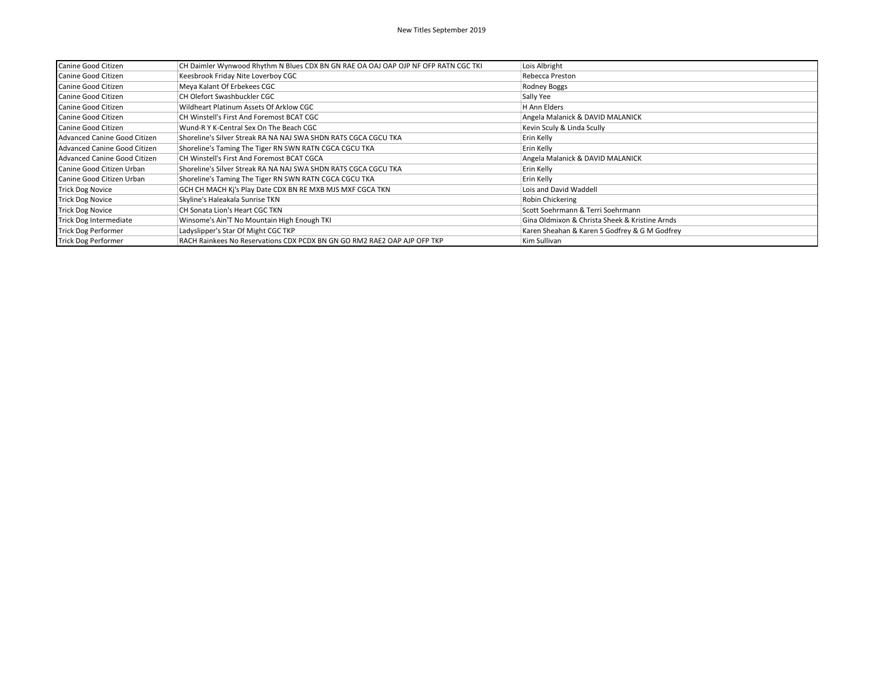| Canine Good Citizen          | CH Daimler Wynwood Rhythm N Blues CDX BN GN RAE OA OAJ OAP OJP NF OFP RATN CGC TKI | Lois Albright                                  |
|------------------------------|------------------------------------------------------------------------------------|------------------------------------------------|
| Canine Good Citizen          | Keesbrook Friday Nite Loverboy CGC                                                 | Rebecca Preston                                |
| Canine Good Citizen          | Meya Kalant Of Erbekees CGC                                                        | Rodney Boggs                                   |
| Canine Good Citizen          | CH Olefort Swashbuckler CGC                                                        | Sally Yee                                      |
| Canine Good Citizen          | Wildheart Platinum Assets Of Arklow CGC                                            | H Ann Elders                                   |
| Canine Good Citizen          | CH Winstell's First And Foremost BCAT CGC                                          | Angela Malanick & DAVID MALANICK               |
| Canine Good Citizen          | Wund-R Y K-Central Sex On The Beach CGC                                            | Kevin Sculy & Linda Scully                     |
| Advanced Canine Good Citizen | Shoreline's Silver Streak RA NA NAJ SWA SHDN RATS CGCA CGCU TKA                    | Erin Kelly                                     |
| Advanced Canine Good Citizen | Shoreline's Taming The Tiger RN SWN RATN CGCA CGCU TKA                             | Erin Kelly                                     |
| Advanced Canine Good Citizen | CH Winstell's First And Foremost BCAT CGCA                                         | Angela Malanick & DAVID MALANICK               |
| Canine Good Citizen Urban    | Shoreline's Silver Streak RA NA NAJ SWA SHDN RATS CGCA CGCU TKA                    | Erin Kelly                                     |
| Canine Good Citizen Urban    | Shoreline's Taming The Tiger RN SWN RATN CGCA CGCU TKA                             | Erin Kelly                                     |
| <b>Trick Dog Novice</b>      | GCH CH MACH Ki's Play Date CDX BN RE MXB MJS MXF CGCA TKN                          | Lois and David Waddell                         |
| <b>Trick Dog Novice</b>      | Skyline's Haleakala Sunrise TKN                                                    | Robin Chickering                               |
| <b>Trick Dog Novice</b>      | CH Sonata Lion's Heart CGC TKN                                                     | Scott Soehrmann & Terri Soehrmann              |
| Trick Dog Intermediate       | Winsome's Ain'T No Mountain High Enough TKI                                        | Gina Oldmixon & Christa Sheek & Kristine Arnds |
| <b>Trick Dog Performer</b>   | Ladyslipper's Star Of Might CGC TKP                                                | Karen Sheahan & Karen S Godfrey & G M Godfrey  |
| <b>Trick Dog Performer</b>   | RACH Rainkees No Reservations CDX PCDX BN GN GO RM2 RAE2 OAP AJP OFP TKP           | Kim Sullivan                                   |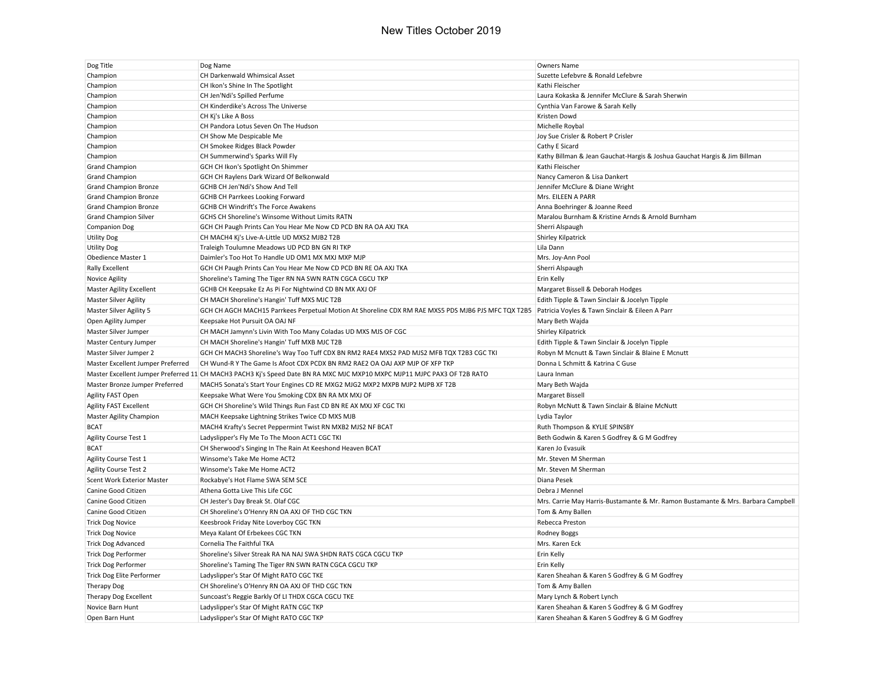| Dog Title                         | Dog Name                                                                                                                                            | Owners Name                                                                      |
|-----------------------------------|-----------------------------------------------------------------------------------------------------------------------------------------------------|----------------------------------------------------------------------------------|
| Champion                          | CH Darkenwald Whimsical Asset                                                                                                                       | Suzette Lefebvre & Ronald Lefebvre                                               |
| Champion                          | CH Ikon's Shine In The Spotlight                                                                                                                    | Kathi Fleischer                                                                  |
| Champion                          | CH Jen'Ndi's Spilled Perfume                                                                                                                        | Laura Kokaska & Jennifer McClure & Sarah Sherwin                                 |
| Champion                          | CH Kinderdike's Across The Universe                                                                                                                 | Cynthia Van Farowe & Sarah Kelly                                                 |
| Champion                          | CH Kj's Like A Boss                                                                                                                                 | Kristen Dowd                                                                     |
| Champion                          | CH Pandora Lotus Seven On The Hudson                                                                                                                | Michelle Roybal                                                                  |
| Champion                          | CH Show Me Despicable Me                                                                                                                            | Joy Sue Crisler & Robert P Crisler                                               |
| Champion                          | CH Smokee Ridges Black Powder                                                                                                                       | Cathy E Sicard                                                                   |
| Champion                          | CH Summerwind's Sparks Will Fly                                                                                                                     | Kathy Billman & Jean Gauchat-Hargis & Joshua Gauchat Hargis & Jim Billman        |
| <b>Grand Champion</b>             | GCH CH Ikon's Spotlight On Shimmer                                                                                                                  | Kathi Fleischer                                                                  |
| <b>Grand Champion</b>             | GCH CH Raylens Dark Wizard Of Belkonwald                                                                                                            | Nancy Cameron & Lisa Dankert                                                     |
| <b>Grand Champion Bronze</b>      | GCHB CH Jen'Ndi's Show And Tell                                                                                                                     | Jennifer McClure & Diane Wright                                                  |
| <b>Grand Champion Bronze</b>      | <b>GCHB CH Parrkees Looking Forward</b>                                                                                                             | Mrs. EILEEN A PARR                                                               |
| Grand Champion Bronze             | GCHB CH Windrift's The Force Awakens                                                                                                                | Anna Boehringer & Joanne Reed                                                    |
| <b>Grand Champion Silver</b>      | GCHS CH Shoreline's Winsome Without Limits RATN                                                                                                     | Maralou Burnham & Kristine Arnds & Arnold Burnham                                |
| <b>Companion Dog</b>              | GCH CH Paugh Prints Can You Hear Me Now CD PCD BN RA OA AXJ TKA                                                                                     | Sherri Alspaugh                                                                  |
| <b>Utility Dog</b>                | CH MACH4 Kj's Live-A-Little UD MXS2 MJB2 T2B                                                                                                        | Shirley Kilpatrick                                                               |
| <b>Utility Dog</b>                | Traleigh Toulumne Meadows UD PCD BN GN RI TKP                                                                                                       | Lila Dann                                                                        |
| Obedience Master 1                | Daimler's Too Hot To Handle UD OM1 MX MXJ MXP MJP                                                                                                   | Mrs. Joy-Ann Pool                                                                |
| <b>Rally Excellent</b>            | GCH CH Paugh Prints Can You Hear Me Now CD PCD BN RE OA AXJ TKA                                                                                     | Sherri Alspaugh                                                                  |
| Novice Agility                    | Shoreline's Taming The Tiger RN NA SWN RATN CGCA CGCU TKP                                                                                           | Erin Kelly                                                                       |
| <b>Master Agility Excellent</b>   | GCHB CH Keepsake Ez As Pi For Nightwind CD BN MX AXJ OF                                                                                             | Margaret Bissell & Deborah Hodges                                                |
| <b>Master Silver Agility</b>      | CH MACH Shoreline's Hangin' Tuff MXS MJC T2B                                                                                                        | Edith Tipple & Tawn Sinclair & Jocelyn Tipple                                    |
| Master Silver Agility 5           | GCH CH AGCH MACH15 Parrkees Perpetual Motion At Shoreline CDX RM RAE MXS5 PDS MJB6 PJS MFC TQX T2B5 Patricia Voyles & Tawn Sinclair & Eileen A Parr |                                                                                  |
|                                   |                                                                                                                                                     |                                                                                  |
| Open Agility Jumper               | Keepsake Hot Pursuit OA OAJ NF                                                                                                                      | Mary Beth Wajda                                                                  |
| Master Silver Jumper              | CH MACH Jamynn's Livin With Too Many Coladas UD MXS MJS OF CGC                                                                                      | Shirley Kilpatrick                                                               |
| Master Century Jumper             | CH MACH Shoreline's Hangin' Tuff MXB MJC T2B                                                                                                        | Edith Tipple & Tawn Sinclair & Jocelyn Tipple                                    |
| Master Silver Jumper 2            | GCH CH MACH3 Shoreline's Way Too Tuff CDX BN RM2 RAE4 MXS2 PAD MJS2 MFB TQX T2B3 CGC TKI                                                            | Robyn M Mcnutt & Tawn Sinclair & Blaine E Mcnutt                                 |
| Master Excellent Jumper Preferred | CH Wund-R Y The Game Is Afoot CDX PCDX BN RM2 RAE2 OA OAJ AXP MJP OF XFP TKP                                                                        | Donna L Schmitt & Katrina C Guse                                                 |
|                                   | Master Excellent Jumper Preferred 11 CH MACH3 PACH3 Kj's Speed Date BN RA MXC MJC MXP10 MXPC MJP11 MJPC PAX3 OF T2B RATO                            | Laura Inman                                                                      |
| Master Bronze Jumper Preferred    | MACH5 Sonata's Start Your Engines CD RE MXG2 MJG2 MXP2 MXPB MJP2 MJPB XF T2B                                                                        | Mary Beth Wajda                                                                  |
| Agility FAST Open                 | Keepsake What Were You Smoking CDX BN RA MX MXJ OF                                                                                                  | Margaret Bissell                                                                 |
| <b>Agility FAST Excellent</b>     | GCH CH Shoreline's Wild Things Run Fast CD BN RE AX MXJ XF CGC TKI                                                                                  | Robyn McNutt & Tawn Sinclair & Blaine McNutt                                     |
| Master Agility Champion           | MACH Keepsake Lightning Strikes Twice CD MXS MJB                                                                                                    | Lydia Taylor                                                                     |
| <b>BCAT</b>                       | MACH4 Krafty's Secret Peppermint Twist RN MXB2 MJS2 NF BCAT                                                                                         | Ruth Thompson & KYLIE SPINSBY                                                    |
| Agility Course Test 1             | Ladyslipper's Fly Me To The Moon ACT1 CGC TKI                                                                                                       | Beth Godwin & Karen S Godfrey & G M Godfrey                                      |
| <b>BCAT</b>                       | CH Sherwood's Singing In The Rain At Keeshond Heaven BCAT                                                                                           | Karen Jo Evasuik                                                                 |
| <b>Agility Course Test 1</b>      | Winsome's Take Me Home ACT2                                                                                                                         | Mr. Steven M Sherman                                                             |
| <b>Agility Course Test 2</b>      | Winsome's Take Me Home ACT2                                                                                                                         | Mr. Steven M Sherman                                                             |
| Scent Work Exterior Master        | Rockabye's Hot Flame SWA SEM SCE                                                                                                                    | Diana Pesek                                                                      |
| Canine Good Citizen               | Athena Gotta Live This Life CGC                                                                                                                     | Debra J Mennel                                                                   |
| Canine Good Citizen               | CH Jester's Day Break St. Olaf CGC                                                                                                                  | Mrs. Carrie May Harris-Bustamante & Mr. Ramon Bustamante & Mrs. Barbara Campbell |
| Canine Good Citizen               | CH Shoreline's O'Henry RN OA AXJ OF THD CGC TKN                                                                                                     | Tom & Amy Ballen                                                                 |
| <b>Trick Dog Novice</b>           | Keesbrook Friday Nite Loverboy CGC TKN                                                                                                              | Rebecca Preston                                                                  |
|                                   |                                                                                                                                                     |                                                                                  |
| <b>Trick Dog Novice</b>           | Meya Kalant Of Erbekees CGC TKN<br>Cornelia The Faithful TKA                                                                                        | Rodney Boggs<br>Mrs. Karen Eck                                                   |
| <b>Trick Dog Advanced</b>         |                                                                                                                                                     |                                                                                  |
| Trick Dog Performer               | Shoreline's Silver Streak RA NA NAJ SWA SHDN RATS CGCA CGCU TKP                                                                                     | Erin Kelly                                                                       |
| <b>Trick Dog Performer</b>        | Shoreline's Taming The Tiger RN SWN RATN CGCA CGCU TKP                                                                                              | Erin Kelly                                                                       |
| Trick Dog Elite Performer         | Ladyslipper's Star Of Might RATO CGC TKE                                                                                                            | Karen Sheahan & Karen S Godfrey & G M Godfrey                                    |
| Therapy Dog                       | CH Shoreline's O'Henry RN OA AXJ OF THD CGC TKN                                                                                                     | Tom & Amy Ballen                                                                 |
| Therapy Dog Excellent             | Suncoast's Reggie Barkly Of LI THDX CGCA CGCU TKE                                                                                                   | Mary Lynch & Robert Lynch                                                        |
| Novice Barn Hunt                  | Ladyslipper's Star Of Might RATN CGC TKP                                                                                                            | Karen Sheahan & Karen S Godfrey & G M Godfrey                                    |
| Open Barn Hunt                    | Ladyslipper's Star Of Might RATO CGC TKP                                                                                                            | Karen Sheahan & Karen S Godfrey & G M Godfrey                                    |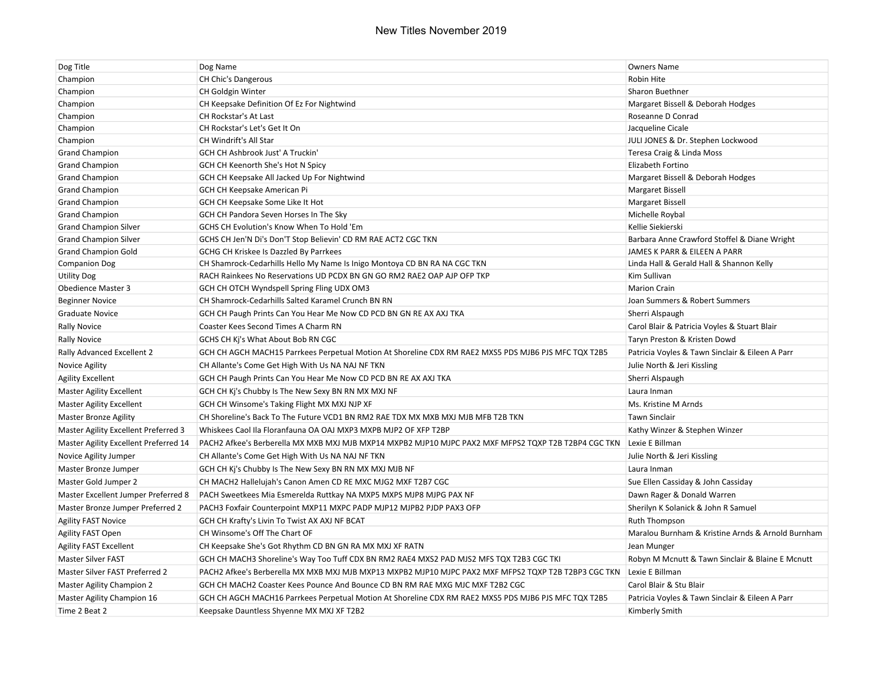| Dog Title                             | Dog Name                                                                                             | <b>Owners Name</b>                                |
|---------------------------------------|------------------------------------------------------------------------------------------------------|---------------------------------------------------|
| Champion                              | CH Chic's Dangerous                                                                                  | <b>Robin Hite</b>                                 |
| Champion                              | CH Goldgin Winter                                                                                    | <b>Sharon Buethner</b>                            |
| Champion                              | CH Keepsake Definition Of Ez For Nightwind                                                           | Margaret Bissell & Deborah Hodges                 |
| Champion                              | <b>CH Rockstar's At Last</b>                                                                         | Roseanne D Conrad                                 |
| Champion                              | CH Rockstar's Let's Get It On                                                                        | Jacqueline Cicale                                 |
| Champion                              | CH Windrift's All Star                                                                               | JULI JONES & Dr. Stephen Lockwood                 |
| <b>Grand Champion</b>                 | <b>GCH CH Ashbrook Just' A Truckin'</b>                                                              | Teresa Craig & Linda Moss                         |
| <b>Grand Champion</b>                 | GCH CH Keenorth She's Hot N Spicy                                                                    | Elizabeth Fortino                                 |
| <b>Grand Champion</b>                 | GCH CH Keepsake All Jacked Up For Nightwind                                                          | Margaret Bissell & Deborah Hodges                 |
| <b>Grand Champion</b>                 | GCH CH Keepsake American Pi                                                                          | <b>Margaret Bissell</b>                           |
| <b>Grand Champion</b>                 | GCH CH Keepsake Some Like It Hot                                                                     | <b>Margaret Bissell</b>                           |
| <b>Grand Champion</b>                 | GCH CH Pandora Seven Horses In The Sky                                                               | Michelle Roybal                                   |
| <b>Grand Champion Silver</b>          | GCHS CH Evolution's Know When To Hold 'Em                                                            | Kellie Siekierski                                 |
| <b>Grand Champion Silver</b>          | GCHS CH Jen'N Di's Don'T Stop Believin' CD RM RAE ACT2 CGC TKN                                       | Barbara Anne Crawford Stoffel & Diane Wright      |
| <b>Grand Champion Gold</b>            | GCHG CH Kriskee Is Dazzled By Parrkees                                                               | JAMES K PARR & EILEEN A PARR                      |
| <b>Companion Dog</b>                  | CH Shamrock-Cedarhills Hello My Name Is Inigo Montoya CD BN RA NA CGC TKN                            | Linda Hall & Gerald Hall & Shannon Kelly          |
| <b>Utility Dog</b>                    | RACH Rainkees No Reservations UD PCDX BN GN GO RM2 RAE2 OAP AJP OFP TKP                              | Kim Sullivan                                      |
| Obedience Master 3                    | GCH CH OTCH Wyndspell Spring Fling UDX OM3                                                           | <b>Marion Crain</b>                               |
| <b>Beginner Novice</b>                | CH Shamrock-Cedarhills Salted Karamel Crunch BN RN                                                   | Joan Summers & Robert Summers                     |
| <b>Graduate Novice</b>                | GCH CH Paugh Prints Can You Hear Me Now CD PCD BN GN RE AX AXJ TKA                                   | Sherri Alspaugh                                   |
| <b>Rally Novice</b>                   | Coaster Kees Second Times A Charm RN                                                                 | Carol Blair & Patricia Voyles & Stuart Blair      |
| <b>Rally Novice</b>                   | GCHS CH Ki's What About Bob RN CGC                                                                   | Taryn Preston & Kristen Dowd                      |
| Rally Advanced Excellent 2            | GCH CH AGCH MACH15 Parrkees Perpetual Motion At Shoreline CDX RM RAE2 MXS5 PDS MJB6 PJS MFC TQX T2B5 | Patricia Voyles & Tawn Sinclair & Eileen A Parr   |
| Novice Agility                        | CH Allante's Come Get High With Us NA NAJ NF TKN                                                     | Julie North & Jeri Kissling                       |
| <b>Agility Excellent</b>              | GCH CH Paugh Prints Can You Hear Me Now CD PCD BN RE AX AXJ TKA                                      | Sherri Alspaugh                                   |
| <b>Master Agility Excellent</b>       | GCH CH Kj's Chubby Is The New Sexy BN RN MX MXJ NF                                                   | Laura Inman                                       |
| <b>Master Agility Excellent</b>       | GCH CH Winsome's Taking Flight MX MXJ NJP XF                                                         | Ms. Kristine M Arnds                              |
| <b>Master Bronze Agility</b>          | CH Shoreline's Back To The Future VCD1 BN RM2 RAE TDX MX MXB MXJ MJB MFB T2B TKN                     | <b>Tawn Sinclair</b>                              |
| Master Agility Excellent Preferred 3  | Whiskees Caol Ila Floranfauna OA OAJ MXP3 MXPB MJP2 OF XFP T2BP                                      | Kathy Winzer & Stephen Winzer                     |
| Master Agility Excellent Preferred 14 | PACH2 Afkee's Berberella MX MXB MXJ MJB MXP14 MXPB2 MJP10 MJPC PAX2 MXF MFPS2 TQXP T2B T2BP4 CGC TKN | Lexie E Billman                                   |
| Novice Agility Jumper                 | CH Allante's Come Get High With Us NA NAJ NF TKN                                                     | Julie North & Jeri Kissling                       |
| Master Bronze Jumper                  | GCH CH Ki's Chubby Is The New Sexy BN RN MX MXJ MJB NF                                               | Laura Inman                                       |
| Master Gold Jumper 2                  | CH MACH2 Hallelujah's Canon Amen CD RE MXC MJG2 MXF T2B7 CGC                                         | Sue Ellen Cassiday & John Cassiday                |
| Master Excellent Jumper Preferred 8   | PACH Sweetkees Mia Esmerelda Ruttkay NA MXP5 MXPS MJP8 MJPG PAX NF                                   | Dawn Rager & Donald Warren                        |
| Master Bronze Jumper Preferred 2      | PACH3 Foxfair Counterpoint MXP11 MXPC PADP MJP12 MJPB2 PJDP PAX3 OFP                                 | Sherilyn K Solanick & John R Samuel               |
| <b>Agility FAST Novice</b>            | GCH CH Krafty's Livin To Twist AX AXJ NF BCAT                                                        | Ruth Thompson                                     |
| Agility FAST Open                     | CH Winsome's Off The Chart OF                                                                        | Maralou Burnham & Kristine Arnds & Arnold Burnham |
| Agility FAST Excellent                | CH Keepsake She's Got Rhythm CD BN GN RA MX MXJ XF RATN                                              | Jean Munger                                       |
| <b>Master Silver FAST</b>             | GCH CH MACH3 Shoreline's Way Too Tuff CDX BN RM2 RAE4 MXS2 PAD MJS2 MFS TQX T2B3 CGC TKI             | Robyn M Mcnutt & Tawn Sinclair & Blaine E Mcnutt  |
| Master Silver FAST Preferred 2        | PACH2 Afkee's Berberella MX MXB MXJ MJB MXP13 MXPB2 MJP10 MJPC PAX2 MXF MFPS2 TQXP T2B T2BP3 CGC TKN | Lexie E Billman                                   |
| Master Agility Champion 2             | GCH CH MACH2 Coaster Kees Pounce And Bounce CD BN RM RAE MXG MJC MXF T2B2 CGC                        | Carol Blair & Stu Blair                           |
| Master Agility Champion 16            | GCH CH AGCH MACH16 Parrkees Perpetual Motion At Shoreline CDX RM RAE2 MXS5 PDS MJB6 PJS MFC TQX T2B5 | Patricia Voyles & Tawn Sinclair & Eileen A Parr   |
| Time 2 Beat 2                         | Keepsake Dauntless Shyenne MX MXJ XF T2B2                                                            | Kimberly Smith                                    |
|                                       |                                                                                                      |                                                   |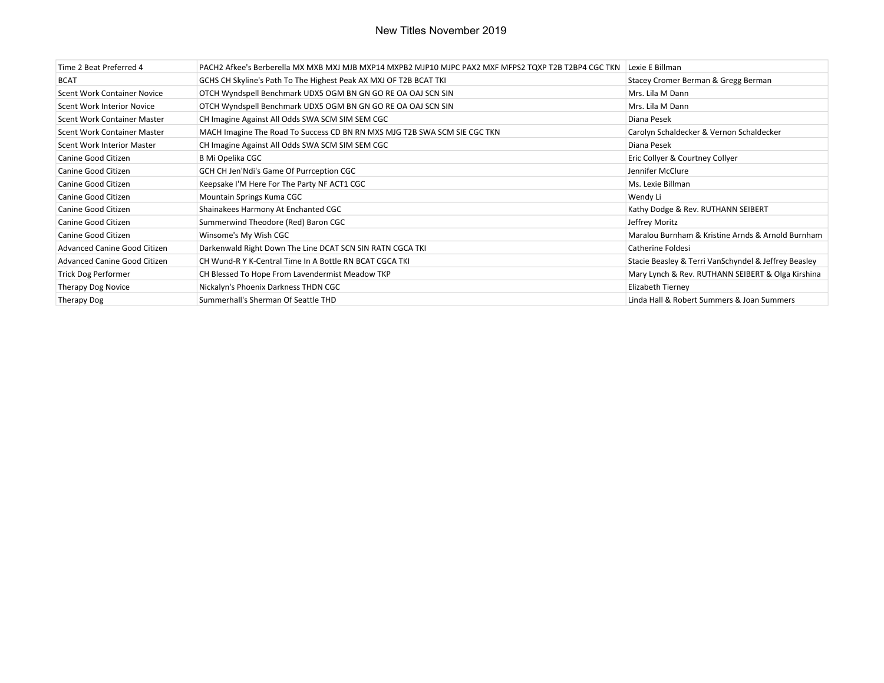| Time 2 Beat Preferred 4      | PACH2 Afkee's Berberella MX MXB MXJ MJB MXP14 MXPB2 MJP10 MJPC PAX2 MXF MFPS2 TQXP T2B T2BP4 CGC TKN   Lexie E Billman |                                                      |
|------------------------------|------------------------------------------------------------------------------------------------------------------------|------------------------------------------------------|
| <b>BCAT</b>                  | GCHS CH Skyline's Path To The Highest Peak AX MXJ OF T2B BCAT TKI                                                      | Stacey Cromer Berman & Gregg Berman                  |
| Scent Work Container Novice  | OTCH Wyndspell Benchmark UDX5 OGM BN GN GO RE OA OAJ SCN SIN                                                           | Mrs. Lila M Dann                                     |
| Scent Work Interior Novice   | OTCH Wyndspell Benchmark UDX5 OGM BN GN GO RE OA OAJ SCN SIN                                                           | Mrs. Lila M Dann                                     |
| Scent Work Container Master  | CH Imagine Against All Odds SWA SCM SIM SEM CGC                                                                        | Diana Pesek                                          |
| Scent Work Container Master  | MACH Imagine The Road To Success CD BN RN MXS MJG T2B SWA SCM SIE CGC TKN                                              | Carolyn Schaldecker & Vernon Schaldecker             |
| Scent Work Interior Master   | CH Imagine Against All Odds SWA SCM SIM SEM CGC                                                                        | Diana Pesek                                          |
| Canine Good Citizen          | B Mi Opelika CGC                                                                                                       | Eric Collyer & Courtney Collyer                      |
| Canine Good Citizen          | GCH CH Jen'Ndi's Game Of Purrception CGC                                                                               | Jennifer McClure                                     |
| Canine Good Citizen          | Keepsake I'M Here For The Party NF ACT1 CGC                                                                            | Ms. Lexie Billman                                    |
| Canine Good Citizen          | Mountain Springs Kuma CGC                                                                                              | Wendy Li                                             |
| Canine Good Citizen          | Shainakees Harmony At Enchanted CGC                                                                                    | Kathy Dodge & Rev. RUTHANN SEIBERT                   |
| Canine Good Citizen          | Summerwind Theodore (Red) Baron CGC                                                                                    | Jeffrey Moritz                                       |
| Canine Good Citizen          | Winsome's My Wish CGC                                                                                                  | Maralou Burnham & Kristine Arnds & Arnold Burnham    |
| Advanced Canine Good Citizen | Darkenwald Right Down The Line DCAT SCN SIN RATN CGCA TKI                                                              | Catherine Foldesi                                    |
| Advanced Canine Good Citizen | CH Wund-R Y K-Central Time In A Bottle RN BCAT CGCA TKI                                                                | Stacie Beasley & Terri VanSchyndel & Jeffrey Beasley |
| Trick Dog Performer          | CH Blessed To Hope From Lavendermist Meadow TKP                                                                        | Mary Lynch & Rev. RUTHANN SEIBERT & Olga Kirshina    |
| Therapy Dog Novice           | Nickalyn's Phoenix Darkness THDN CGC                                                                                   | <b>Elizabeth Tierney</b>                             |
| Therapy Dog                  | Summerhall's Sherman Of Seattle THD                                                                                    | Linda Hall & Robert Summers & Joan Summers           |